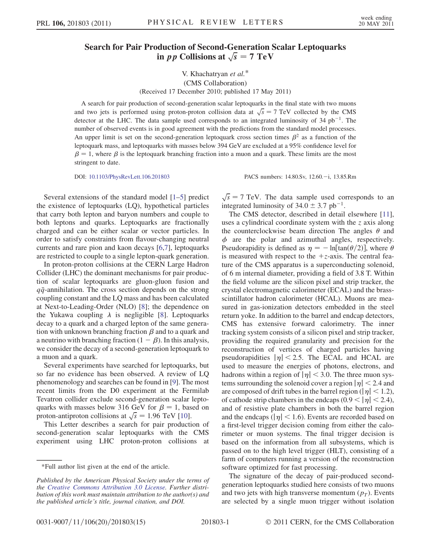## Search for Pair Production of Second-Generation Scalar Leptoquarks in *pp* Collisions at  $\sqrt{s} = 7$  TeV

## V. Khachatryan et al.\* (CMS Collaboration) (Received 17 December 2010; published 17 May 2011)

A search for pair production of second-generation scalar leptoquarks in the final state with two muons and two jets is performed using proton-proton collision data at  $\sqrt{s} = 7$  TeV collected by the CMS detector at the LHC. The data sample used corresponds to an integrated luminosity of 34  $pb^{-1}$ . The number of observed events is in good agreement with the predictions from the standard model processes. An upper limit is set on the second-generation leptoquark cross section times  $\beta^2$  as a function of the leptoquark mass, and leptoquarks with masses below 394 GeV are excluded at a 95% confidence level for  $\beta = 1$ , where  $\beta$  is the leptoquark branching fraction into a muon and a quark. These limits are the most stringent to date.

DOI: [10.1103/PhysRevLett.106.201803](http://dx.doi.org/10.1103/PhysRevLett.106.201803) PACS numbers: 14.80.Sv, 12.60. - i, 13.85.Rm

Several extensions of the standard model [\[1](#page-4-0)–[5\]](#page-4-1) predict the existence of leptoquarks (LQ), hypothetical particles that carry both lepton and baryon numbers and couple to both leptons and quarks. Leptoquarks are fractionally charged and can be either scalar or vector particles. In order to satisfy constraints from flavour-changing neutral currents and rare pion and kaon decays [[6](#page-4-2),[7\]](#page-4-3), leptoquarks are restricted to couple to a single lepton-quark generation.

In proton-proton collisions at the CERN Large Hadron Collider (LHC) the dominant mechanisms for pair production of scalar leptoquarks are gluon-gluon fusion and  $q\bar{q}$ -annihilation. The cross section depends on the strong coupling constant and the LQ mass and has been calculated at Next-to-Leading-Order (NLO) [[8](#page-4-4)]; the dependence on the Yukawa coupling  $\lambda$  is negligible [[8\]](#page-4-4). Leptoquarks decay to a quark and a charged lepton of the same generation with unknown branching fraction  $\beta$  and to a quark and a neutrino with branching fraction  $(1 - \beta)$ . In this analysis, we consider the decay of a second-generation leptoquark to a muon and a quark.

Several experiments have searched for leptoquarks, but so far no evidence has been observed. A review of LQ phenomenology and searches can be found in [[9](#page-4-5)]. The most recent limits from the D0 experiment at the Fermilab Tevatron collider exclude second-generation scalar leptoquarks with masses below 316 GeV for  $\beta = 1$ , based on proton-antiproton collisions at  $\sqrt{s}$  = 1.96 TeV [\[10\]](#page-4-6).

This Letter describes a search for pair production of second-generation scalar leptoquarks with the CMS experiment using LHC proton-proton collisions at

 $\sqrt{s}$  = 7 TeV. The data sample used corresponds to an integrated luminosity of  $34.0 \pm 3.7$  pb<sup>-1</sup>.

The CMS detector, described in detail elsewhere [[11\]](#page-4-7), uses a cylindrical coordinate system with the z axis along the counterclockwise beam direction The angles  $\theta$  and  $\phi$  are the polar and azimuthal angles, respectively. Pseudorapidity is defined as  $\eta = -\ln[\tan(\theta/2)]$ , where  $\theta$ is measured with respect to the  $+z$ -axis. The central feature of the CMS apparatus is a superconducting solenoid, of 6 m internal diameter, providing a field of 3.8 T. Within the field volume are the silicon pixel and strip tracker, the crystal electromagnetic calorimeter (ECAL) and the brassscintillator hadron calorimeter (HCAL). Muons are measured in gas-ionization detectors embedded in the steel return yoke. In addition to the barrel and endcap detectors, CMS has extensive forward calorimetry. The inner tracking system consists of a silicon pixel and strip tracker, providing the required granularity and precision for the reconstruction of vertices of charged particles having pseudorapidities  $|\eta|$  < 2.5. The ECAL and HCAL are used to measure the energies of photons, electrons, and hadrons within a region of  $|\eta|$  < 3.0. The three muon systems surrounding the solenoid cover a region  $|\eta|$  < 2.4 and are composed of drift tubes in the barrel region ( $|\eta|$  < 1.2), of cathode strip chambers in the endcaps  $(0.9 < |\eta| < 2.4)$ , and of resistive plate chambers in both the barrel region and the endcaps ( $|\eta|$  < 1.6). Events are recorded based on a first-level trigger decision coming from either the calorimeter or muon systems. The final trigger decision is based on the information from all subsystems, which is passed on to the high level trigger (HLT), consisting of a farm of computers running a version of the reconstruction software optimized for fast processing.

The signature of the decay of pair-produced secondgeneration leptoquarks studied here consists of two muons and two jets with high transverse momentum  $(p_T)$ . Events are selected by a single muon trigger without isolation

<sup>\*</sup>Full author list given at the end of the article.

Published by the American Physical Society under the terms of the [Creative Commons Attribution 3.0 License.](http://creativecommons.org/licenses/by/3.0/) Further distribution of this work must maintain attribution to the author(s) and the published article's title, journal citation, and DOI.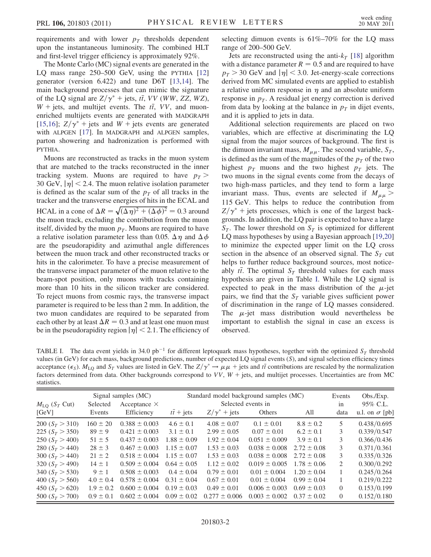requirements and with lower  $p_T$  thresholds dependent upon the instantaneous luminosity. The combined HLT and first-level trigger efficiency is approximately 92%.

The Monte Carlo (MC) signal events are generated in the LQ mass range 250–500 GeV, using the PYTHIA [\[12\]](#page-4-8) generator (version 6.422) and tune D6T [[13](#page-4-9)[,14](#page-4-10)]. The main background processes that can mimic the signature of the LQ signal are  $Z/\gamma^*$  + jets, tt, VV (WW, ZZ, WZ),  $W$  + jets, and multijet events. The  $t\bar{t}$ , VV, and muonenriched multijets events are generated with MADGRAPH [\[15](#page-4-11)[,16\]](#page-4-12);  $Z/\gamma^*$  + jets and W + jets events are generated with ALPGEN [\[17\]](#page-4-13). In MADGRAPH and ALPGEN samples, parton showering and hadronization is performed with PYTHIA.

Muons are reconstructed as tracks in the muon system that are matched to the tracks reconstructed in the inner tracking system. Muons are required to have  $p_T >$ 30 GeV,  $|\eta|$  < 2.4. The muon relative isolation parameter is defined as the scalar sum of the  $p<sub>T</sub>$  of all tracks in the tracker and the transverse energies of hits in the ECAL and HCAL in a cone of  $\Delta R = \sqrt{(\Delta \eta)^2 + (\Delta \phi)^2} = 0.3$  around the muon track, excluding the contribution from the muon itself, divided by the muon  $p<sub>T</sub>$ . Muons are required to have a relative isolation parameter less than 0.05.  $\Delta \eta$  and  $\Delta \phi$ are the pseudorapidity and azimuthal angle differences between the muon track and other reconstructed tracks or hits in the calorimeter. To have a precise measurement of the transverse impact parameter of the muon relative to the beam-spot position, only muons with tracks containing more than 10 hits in the silicon tracker are considered. To reject muons from cosmic rays, the transverse impact parameter is required to be less than 2 mm. In addition, the two muon candidates are required to be separated from each other by at least  $\Delta R = 0.3$  and at least one muon must be in the pseudorapidity region  $|\eta|$  < 2.1. The efficiency of selecting dimuon events is 61%–70% for the LQ mass range of 200–500 GeV.

Jets are reconstructed using the anti- $k_T$  [[18\]](#page-4-14) algorithm with a distance parameter  $R = 0.5$  and are required to have  $p_T > 30$  GeV and  $|\eta| < 3.0$ . Jet-energy-scale corrections derived from MC simulated events are applied to establish a relative uniform response in  $\eta$  and an absolute uniform response in  $p<sub>T</sub>$ . A residual jet energy correction is derived from data by looking at the balance in  $p<sub>T</sub>$  in dijet events, and it is applied to jets in data.

Additional selection requirements are placed on two variables, which are effective at discriminating the LQ signal from the major sources of background. The first is the dimuon invariant mass,  $M_{\mu\mu}$ . The second variable,  $S_T$ , is defined as the sum of the magnitudes of the  $p<sub>T</sub>$  of the two highest  $p_T$  muons and the two highest  $p_T$  jets. The two muons in the signal events come from the decays of two high-mass particles, and they tend to form a large invariant mass. Thus, events are selected if  $M_{\mu\mu}$  > 115 GeV. This helps to reduce the contribution from  $Z/\gamma^*$  + jets processes, which is one of the largest backgrounds. In addition, the LQ pair is expected to have a large  $S_T$ . The lower threshold on  $S_T$  is optimized for different LQ mass hypotheses by using a Bayesian approach [\[19,](#page-4-15)[20\]](#page-4-16) to minimize the expected upper limit on the LQ cross section in the absence of an observed signal. The  $S_T$  cut helps to further reduce background sources, most noticeably  $t\bar{t}$ . The optimal  $S_T$  threshold values for each mass hypothesis are given in Table [I.](#page-1-0) While the LQ signal is expected to peak in the mass distribution of the  $\mu$ -jet pairs, we find that the  $S_T$  variable gives sufficient power of discrimination in the range of LQ masses considered. The  $\mu$ -jet mass distribution would nevertheless be important to establish the signal in case an excess is observed.

<span id="page-1-0"></span>TABLE I. The data event yields in 34.0 pb<sup>-1</sup> for different leptoquark mass hypotheses, together with the optimized  $S_T$  threshold values (in GeV) for each mass, background predictions, number of expected LQ signal events (S), and signal selection efficiency times acceptance ( $\epsilon_s$ ).  $M_{LQ}$  and  $S_T$  values are listed in GeV. The  $Z/\gamma^* \to \mu\mu + \text{jets}$  and  $t\bar{t}$  contributions are rescaled by the normalization factors determined from data. Other backgrounds correspond to  $VV$ ,  $W$  + jets, and multijet processes. Uncertainties are from MC statistics.

|                                      |               | Signal samples (MC) | Standard model background samples (MC) |                     |                   | Events          | Obs.Exp.                    |                       |
|--------------------------------------|---------------|---------------------|----------------------------------------|---------------------|-------------------|-----------------|-----------------------------|-----------------------|
| $M_{\text{LO}}$ (S <sub>T</sub> Cut) | Selected      | Acceptance $\times$ | Selected events in                     |                     |                   |                 | in                          | 95% C.L.              |
| [GeV]                                | Events        | Efficiency          | $t\bar{t}$ + jets                      | $Z/\gamma^*$ + jets | Others            | All             | data                        | u.l. on $\sigma$ [pb] |
| 200 $(S_T > 310)$                    | $160 \pm 20$  | $0.388 \pm 0.003$   | $4.6 \pm 0.1$                          | $4.08 \pm 0.07$     | $0.1 \pm 0.01$    | $8.8 \pm 0.2$   | 5                           | 0.438/0.695           |
| 225 $(S_T > 350)$                    | $89 \pm 9$    | $0.421 \pm 0.003$   | $3.1 \pm 0.1$                          | $2.99 \pm 0.05$     | $0.07 \pm 0.01$   | $6.2 \pm 0.1$   | 3                           | 0.339/0.547           |
| 250 $(S_T > 400)$                    | $51 \pm 5$    | $0.437 \pm 0.003$   | $1.88 \pm 0.09$                        | $1.92 \pm 0.04$     | $0.051 \pm 0.009$ | $3.9 \pm 0.1$   | 3                           | 0.366/0.436           |
| 280 $(S_T > 440)$                    | $28 \pm 3$    | $0.467 \pm 0.003$   | $1.15 \pm 0.07$                        | $1.53 \pm 0.03$     | $0.038 \pm 0.008$ | $2.72 \pm 0.08$ | 3                           | 0.371/0.361           |
| 300 $(S_T > 440)$                    | $21 \pm 2$    | $0.518 \pm 0.004$   | $1.15 \pm 0.07$                        | $1.53 \pm 0.03$     | $0.038 \pm 0.008$ | $2.72 \pm 0.08$ | 3                           | 0.335/0.326           |
| 320 $(S_T > 490)$                    | $14 \pm 1$    | $0.509 \pm 0.004$   | $0.64 \pm 0.05$                        | $1.12 \pm 0.02$     | $0.019 \pm 0.005$ | $1.78 \pm 0.06$ | $\mathcal{D}_{\mathcal{L}}$ | 0.300/0.292           |
| 340 $(S_T > 530)$                    | $9 \pm 1$     | $0.508 \pm 0.003$   | $0.4 \pm 0.04$                         | $0.79 \pm 0.01$     | $0.01 \pm 0.004$  | $1.20 \pm 0.04$ |                             | 0.245/0.264           |
| 400 $(S_T > 560)$                    | $4.0 \pm 0.4$ | $0.578 \pm 0.004$   | $0.31 \pm 0.04$                        | $0.67 \pm 0.01$     | $0.01 \pm 0.004$  | $0.99 \pm 0.04$ |                             | 0.219/0.222           |
| 450 $(S_T > 620)$                    | $1.9 \pm 0.2$ | $0.600 \pm 0.004$   | $0.19 \pm 0.03$                        | $0.49 \pm 0.01$     | $0.006 \pm 0.003$ | $0.69 \pm 0.03$ | $\Omega$                    | 0.153/0.199           |
| 500 $(S_T > 700)$                    | $0.9 \pm 0.1$ | $0.602 \pm 0.004$   | $0.09 \pm 0.02$                        | $0.277 \pm 0.006$   | $0.003 \pm 0.002$ | $0.37 \pm 0.02$ | $\overline{0}$              | 0.152/0.180           |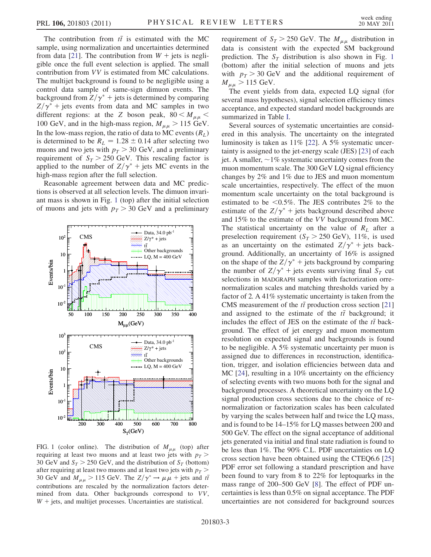The contribution from  $t\bar{t}$  is estimated with the MC sample, using normalization and uncertainties determined from data [[21](#page-4-17)]. The contribution from  $W +$  jets is negligible once the full event selection is applied. The small contribution from VV is estimated from MC calculations. The multijet background is found to be negligible using a control data sample of same-sign dimuon events. The background from  $Z/\gamma^*$  + jets is determined by comparing  $Z/\gamma^*$  + jets events from data and MC samples in two different regions: at the Z boson peak,  $80 < M_{\mu\mu}$  < 100 GeV, and in the high-mass region,  $M_{\mu\mu} > 115$  GeV. In the low-mass region, the ratio of data to MC events  $(R_L)$ is determined to be  $R_L = 1.28 \pm 0.14$  after selecting two muons and two jets with  $p_T > 30$  GeV, and a preliminary requirement of  $S_T > 250$  GeV. This rescaling factor is applied to the number of  $Z/\gamma^*$  + jets MC events in the high-mass region after the full selection.

Reasonable agreement between data and MC predictions is observed at all selection levels. The dimuon invariant mass is shown in Fig. [1](#page-2-0) (top) after the initial selection of muons and jets with  $p_T > 30$  GeV and a preliminary

<span id="page-2-0"></span>

FIG. 1 (color online). The distribution of  $M_{\mu\mu}$  (top) after requiring at least two muons and at least two jets with  $p_T$  > 30 GeV and  $S_T > 250$  GeV, and the distribution of  $S_T$  (bottom) after requiring at least two muons and at least two jets with  $p_T$  > 30 GeV and  $M_{\mu\mu} > 115$  GeV. The  $Z/\gamma^* \rightarrow \mu\mu + \text{jets}$  and  $t\bar{t}$ contributions are rescaled by the normalization factors determined from data. Other backgrounds correspond to VV,  $W +$  jets, and multijet processes. Uncertainties are statistical.

requirement of  $S_T > 250$  GeV. The  $M_{\mu\mu}$  distribution in data is consistent with the expected SM background prediction. The  $S_T$  distribution is also shown in Fig. [1](#page-2-0) (bottom) after the initial selection of muons and jets with  $p_T > 30$  GeV and the additional requirement of  $M_{\mu\mu} > 115 \text{ GeV}.$ 

The event yields from data, expected LQ signal (for several mass hypotheses), signal selection efficiency times acceptance, and expected standard model backgrounds are summarized in Table [I](#page-1-0).

Several sources of systematic uncertainties are considered in this analysis. The uncertainty on the integrated luminosity is taken as 11% [[22](#page-4-18)]. A 5% systematic uncertainty is assigned to the jet-energy scale (JES) [\[23\]](#page-4-19) of each jet. A smaller,  $\sim$  1% systematic uncertainty comes from the muon momentum scale. The 300 GeV LQ signal efficiency changes by 2% and 1% due to JES and muon momentum scale uncertainties, respectively. The effect of the muon momentum scale uncertainty on the total background is estimated to be  $\leq 0.5\%$ . The JES contributes 2% to the estimate of the  $Z/\gamma^*$  + jets background described above and 15% to the estimate of the VV background from MC. The statistical uncertainty on the value of  $R_L$  after a preselection requirement ( $S_T > 250$  GeV), 11%, is used as an uncertainty on the estimated  $Z/\gamma^*$  + jets background. Additionally, an uncertainty of 16% is assigned on the shape of the  $Z/\gamma^*$  + jets background by comparing the number of  $Z/\gamma^*$  + jets events surviving final  $S_T$  cut selections in MADGRAPH samples with factorization orrenormalization scales and matching thresholds varied by a factor of 2. A 41% systematic uncertainty is taken from the CMS measurement of the  $t\bar{t}$  production cross section [\[21\]](#page-4-17) and assigned to the estimate of the  $t\bar{t}$  background; it includes the effect of JES on the estimate of the  $t\bar{t}$  background. The effect of jet energy and muon momentum resolution on expected signal and backgrounds is found to be negligible. A 5% systematic uncertainty per muon is assigned due to differences in reconstruction, identification, trigger, and isolation efficiencies between data and MC [[24](#page-4-20)], resulting in a 10% uncertainty on the efficiency of selecting events with two muons both for the signal and background processes. A theoretical uncertainty on the LQ signal production cross sections due to the choice of renormalization or factorization scales has been calculated by varying the scales between half and twice the LQ mass, and is found to be 14–15% for LQ masses between 200 and 500 GeV. The effect on the signal acceptance of additional jets generated via initial and final state radiation is found to be less than 1%. The 90% C.L. PDF uncertainties on LQ cross section have been obtained using the CTEQ6.6 [\[25\]](#page-4-21) PDF error set following a standard prescription and have been found to vary from 8 to 22% for leptoquarks in the mass range of 200–500 GeV [\[8\]](#page-4-4). The effect of PDF uncertainties is less than 0.5% on signal acceptance. The PDF uncertainties are not considered for background sources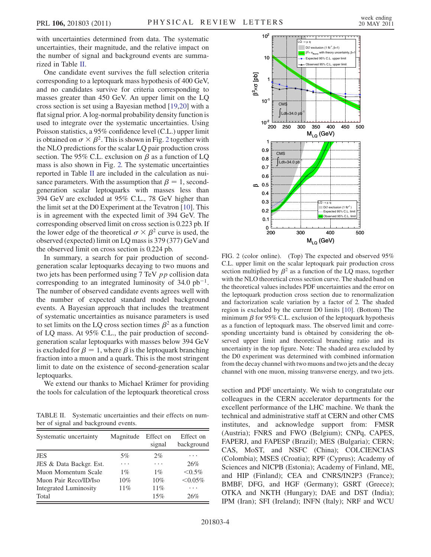with uncertainties determined from data. The systematic uncertainties, their magnitude, and the relative impact on the number of signal and background events are summarized in Table [II](#page-3-0).

One candidate event survives the full selection criteria corresponding to a leptoquark mass hypothesis of 400 GeV, and no candidates survive for criteria corresponding to masses greater than 450 GeV. An upper limit on the LQ cross section is set using a Bayesian method [[19](#page-4-15),[20](#page-4-16)] with a flat signal prior. A log-normal probability density function is used to integrate over the systematic uncertainties. Using Poisson statistics, a 95% confidence level (C.L.) upper limit is obtained on  $\sigma \times \beta^2$  $\sigma \times \beta^2$ . This is shown in Fig. 2 together with the NLO predictions for the scalar LQ pair production cross section. The 95% C.L. exclusion on  $\beta$  as a function of LQ mass is also shown in Fig. [2.](#page-3-1) The systematic uncertainties reported in Table [II](#page-3-0) are included in the calculation as nuisance parameters. With the assumption that  $\beta = 1$ , secondgeneration scalar leptoquarks with masses less than 394 GeV are excluded at 95% C.L., 78 GeV higher than the limit set at the D0 Experiment at the Tevatron [\[10](#page-4-6)]. This is in agreement with the expected limit of 394 GeV. The corresponding observed limit on cross section is 0.223 pb. If the lower edge of the theoretical  $\sigma \times \beta^2$  curve is used, the observed (expected) limit on LQ mass is 379 (377) GeVand the observed limit on cross section is 0.224 pb.

In summary, a search for pair production of secondgeneration scalar leptoquarks decaying to two muons and two jets has been performed using 7 TeV *pp* collision data corresponding to an integrated luminosity of  $34.0 \text{ pb}^{-1}$ . The number of observed candidate events agrees well with the number of expected standard model background events. A Bayesian approach that includes the treatment of systematic uncertainties as nuisance parameters is used to set limits on the LQ cross section times  $\beta^2$  as a function of LQ mass. At 95% C.L., the pair production of secondgeneration scalar leptoquarks with masses below 394 GeV is excluded for  $\beta = 1$ , where  $\beta$  is the leptoquark branching fraction into a muon and a quark. This is the most stringent limit to date on the existence of second-generation scalar leptoquarks.

We extend our thanks to Michael Krämer for providing the tools for calculation of the leptoquark theoretical cross section and PDF uncertainty. We wish to congratulate our

<span id="page-3-0"></span>TABLE II. Systematic uncertainties and their effects on number of signal and background events.

| Systematic uncertainty       | Magnitude | Effect on<br>signal | Effect on<br>background |
|------------------------------|-----------|---------------------|-------------------------|
| <b>JES</b>                   | 5%        | 2%                  | .                       |
| JES & Data Backgr. Est.      | .         | .                   | 26%                     |
| Muon Momentum Scale          | $1\%$     | $1\%$               | $< 0.5\%$               |
| Muon Pair Reco/ID/Iso        | 10%       | 10%                 | $< 0.05\%$              |
| <b>Integrated Luminosity</b> | 11%       | 11%                 |                         |
| Total                        |           | 15%                 | 26%                     |

<span id="page-3-1"></span>

FIG. 2 (color online). (Top) The expected and observed 95% C.L. upper limit on the scalar leptoquark pair production cross section multiplied by  $\beta^2$  as a function of the LQ mass, together with the NLO theoretical cross section curve. The shaded band on the theoretical values includes PDF uncertainties and the error on the leptoquark production cross section due to renormalization and factorization scale variation by a factor of 2. The shaded region is excluded by the current D0 limits [\[10\]](#page-4-6). (Bottom) The minimum  $\beta$  for 95% C.L. exclusion of the leptoquark hypothesis as a function of leptoquark mass. The observed limit and corresponding uncertainty band is obtained by considering the observed upper limit and theoretical branching ratio and its uncertainty in the top figure. Note: The shaded area excluded by the D0 experiment was determined with combined information from the decay channel with two muons and two jets and the decay channel with one muon, missing transverse energy, and two jets.

colleagues in the CERN accelerator departments for the excellent performance of the LHC machine. We thank the technical and administrative staff at CERN and other CMS institutes, and acknowledge support from: FMSR (Austria); FNRS and FWO (Belgium); CNPq, CAPES, FAPERJ, and FAPESP (Brazil); MES (Bulgaria); CERN; CAS, MoST, and NSFC (China); COLCIENCIAS (Colombia); MSES (Croatia); RPF (Cyprus); Academy of Sciences and NICPB (Estonia); Academy of Finland, ME, and HIP (Finland); CEA and CNRS/IN2P3 (France); BMBF, DFG, and HGF (Germany); GSRT (Greece); OTKA and NKTH (Hungary); DAE and DST (India); IPM (Iran); SFI (Ireland); INFN (Italy); NRF and WCU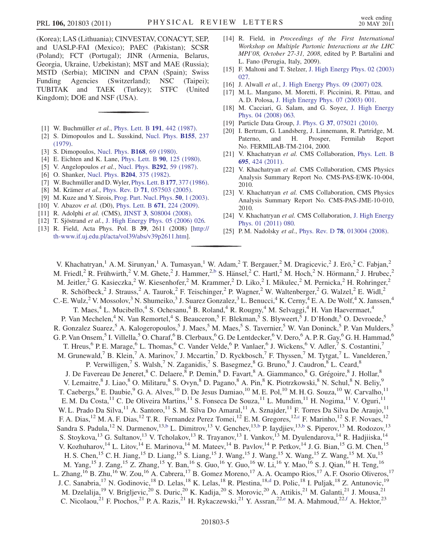(Korea); LAS (Lithuania); CINVESTAV, CONACYT, SEP, and UASLP-FAI (Mexico); PAEC (Pakistan); SCSR (Poland); FCT (Portugal); JINR (Armenia, Belarus, Georgia, Ukraine, Uzbekistan); MST and MAE (Russia); MSTD (Serbia); MICINN and CPAN (Spain); Swiss Funding Agencies (Switzerland); NSC (Taipei); TUBITAK and TAEK (Turkey); STFC (United Kingdom); DOE and NSF (USA).

- <span id="page-4-0"></span>[1] W. Buchmüller et al., [Phys. Lett. B](http://dx.doi.org/10.1016/0370-2693(87)90637-X) 191, 442 (1987).
- [2] S. Dimopoulos and L. Susskind, [Nucl. Phys.](http://dx.doi.org/10.1016/0550-3213(79)90364-X) **B155**, 237 [\(1979\)](http://dx.doi.org/10.1016/0550-3213(79)90364-X).
- [3] S. Dimopoulos, [Nucl. Phys.](http://dx.doi.org/10.1016/0550-3213(80)90277-1) **B168**, 69 (1980).
- [4] E. Eichten and K. Lane, [Phys. Lett. B](http://dx.doi.org/10.1016/0370-2693(80)90065-9) 90, 125 (1980).
- <span id="page-4-1"></span>[5] V. Angelopoulos *et al.*, [Nucl. Phys.](http://dx.doi.org/10.1016/0550-3213(87)90637-7) **B292**, 59 (1987).
- <span id="page-4-2"></span>[6] O. Shanker, Nucl. Phys. **B204**[, 375 \(1982\)](http://dx.doi.org/10.1016/0550-3213(82)90196-1).
- <span id="page-4-3"></span>[7] W. Buchmüller and D. Wyler, [Phys. Lett. B](http://dx.doi.org/10.1016/0370-2693(86)90771-9) 177, 377 (1986).
- <span id="page-4-4"></span>[8] M. Krämer et al., Phys. Rev. D 71[, 057503 \(2005\)](http://dx.doi.org/10.1103/PhysRevD.71.057503).
- <span id="page-4-5"></span>[9] M. Kuze and Y. Sirois, [Prog. Part. Nucl. Phys.](http://dx.doi.org/10.1016/S0146-6410(02)00176-X) 50, 1 (2003).
- <span id="page-4-6"></span>[10] V. Abazov et al. (D0), [Phys. Lett. B](http://dx.doi.org/10.1016/j.physletb.2008.12.017) 671, 224 (2009).
- <span id="page-4-7"></span>[11] R. Adolphi et al. (CMS), JINST 3[, S08004 \(2008\).](http://dx.doi.org/10.1088/1748-0221/3/08/S08004)
- <span id="page-4-8"></span>[12] T. Sjöstrand et al., [J. High Energy Phys. 05 \(2006\) 026.](http://dx.doi.org/10.1088/1126-6708/2006/05/026)
- <span id="page-4-9"></span>[13] R. Field, Acta Phys. Pol. B 39, 2611 (2008) [\[http://](http://th-www.if.uj.edu.pl/acta/vol39/abs/v39p2611.htm) [th-www.if.uj.edu.pl/acta/vol39/abs/v39p2611.htm](http://th-www.if.uj.edu.pl/acta/vol39/abs/v39p2611.htm)].
- <span id="page-4-10"></span>[14] R. Field, in Proceedings of the First International Workshop on Multiple Partonic Interactions at the LHC MPI'08, October 27-31, 2008, edited by P. Bartalini and L. Fano (Perugia, Italy, 2009).
- <span id="page-4-11"></span>[15] F. Maltoni and T. Stelzer, [J. High Energy Phys. 02 \(2003\)](http://dx.doi.org/10.1088/1126-6708/2003/02/027) [027.](http://dx.doi.org/10.1088/1126-6708/2003/02/027)
- <span id="page-4-12"></span>[16] J. Alwall et al., [J. High Energy Phys. 09 \(2007\) 028.](http://dx.doi.org/10.1088/1126-6708/2007/09/028)
- <span id="page-4-13"></span>[17] M.L. Mangano, M. Moretti, F. Piccinini, R. Pittau, and A. D. Polosa, [J. High Energy Phys. 07 \(2003\) 001](http://dx.doi.org/10.1088/1126-6708/2003/07/001).
- <span id="page-4-14"></span>[18] M. Cacciari, G. Salam, and G. Soyez, [J. High Energy](http://dx.doi.org/10.1088/1126-6708/2008/04/063) [Phys. 04 \(2008\) 063.](http://dx.doi.org/10.1088/1126-6708/2008/04/063)
- <span id="page-4-15"></span>[19] Particle Data Group, J. Phys. G 37[, 075021 \(2010\).](http://dx.doi.org/10.1088/0954-3899/37/7A/075021)
- <span id="page-4-16"></span>[20] I. Bertram, G. Landsberg, J. Linnemann, R. Partridge, M. Paterno, and H. Prosper, Fermilab Report No. FERMILAB-TM-2104, 2000.
- <span id="page-4-17"></span>[21] V. Khachatryan et al. CMS Collaboration, [Phys. Lett. B](http://dx.doi.org/10.1016/j.physletb.2010.11.058) 695[, 424 \(2011\).](http://dx.doi.org/10.1016/j.physletb.2010.11.058)
- <span id="page-4-18"></span>[22] V. Khachatryan et al. CMS Collaboration, CMS Physics Analysis Summary Report No. CMS-PAS-EWK-10-004, 2010.
- <span id="page-4-19"></span>[23] V. Khachatryan et al. CMS Collaboration, CMS Physics Analysis Summary Report No. CMS-PAS-JME-10-010, 2010.
- <span id="page-4-20"></span>[24] V. Khachatryan et al. CMS Collaboration, [J. High Energy](http://dx.doi.org/10.1007/JHEP01(2011)080) [Phys. 01 \(2011\) 080.](http://dx.doi.org/10.1007/JHEP01(2011)080)
- <span id="page-4-21"></span>[25] P.M. Nadolsky et al., Phys. Rev. D 78[, 013004 \(2008\)](http://dx.doi.org/10.1103/PhysRevD.78.013004).

<span id="page-4-25"></span><span id="page-4-24"></span><span id="page-4-23"></span><span id="page-4-22"></span>V. Khachatryan,<sup>1</sup> A.M. Sirunyan,<sup>1</sup> A. Tumasyan,<sup>1</sup> W. Adam,<sup>2</sup> T. Bergauer,<sup>2</sup> M. Dragicevic,<sup>2</sup> J. Erö,<sup>2</sup> C. Fabjan,<sup>2</sup> M. Friedl,<sup>2</sup> R. Frühwirth,<sup>2</sup> V. M. Ghete,<sup>2</sup> J. Hammer,<sup>2,[b](#page-13-0)</sup> S. Hänsel,<sup>2</sup> C. Hartl,<sup>2</sup> M. Hoch,<sup>2</sup> N. Hörmann,<sup>2</sup> J. Hrubec,<sup>2</sup> M. Jeitler,<sup>2</sup> G. Kasieczka,<sup>2</sup> W. Kiesenhofer,<sup>2</sup> M. Krammer,<sup>2</sup> D. Liko,<sup>2</sup> I. Mikulec,<sup>2</sup> M. Pernicka,<sup>2</sup> H. Rohringer,<sup>2</sup> R. Schöfbeck,<sup>2</sup> J. Strauss,<sup>2</sup> A. Taurok,<sup>2</sup> F. Teischinger,<sup>2</sup> P. Wagner,<sup>2</sup> W. Waltenberger,<sup>2</sup> G. Walzel,<sup>2</sup> E. Widl,<sup>2</sup> C.-E. Wulz,<sup>2</sup> V. Mossolov,<sup>3</sup> N. Shumeiko,<sup>3</sup> J. Suarez Gonzalez,<sup>3</sup> L. Benucci,<sup>4</sup> K. Cerny,<sup>4</sup> E. A. De Wolf,<sup>4</sup> X. Janssen,<sup>4</sup> T. Maes,<sup>4</sup> L. Mucibello,<sup>4</sup> S. Ochesanu,<sup>4</sup> B. Roland,<sup>4</sup> R. Rougny,<sup>4</sup> M. Selvaggi,<sup>4</sup> H. Van Haevermaet,<sup>4</sup> P. Van Mechelen,<sup>4</sup> N. Van Remortel,<sup>4</sup> S. Beauceron,<sup>5</sup> F. Blekman,<sup>5</sup> S. Blyweert,<sup>5</sup> J. D'Hondt,<sup>5</sup> O. Devroede,<sup>5</sup> R. Gonzalez Suarez,<sup>5</sup> A. Kalogeropoulos,<sup>5</sup> J. Maes,<sup>5</sup> M. Maes,<sup>5</sup> S. Tavernier,<sup>5</sup> W. Van Doninck,<sup>5</sup> P. Van Mulders,<sup>5</sup> G. P. Van Onsem,<sup>5</sup> I. Villella,<sup>5</sup> O. Charaf,<sup>6</sup> B. Clerbaux,<sup>6</sup> G. De Lentdecker,<sup>6</sup> V. Dero,<sup>6</sup> A. P. R. Gay,<sup>6</sup> G. H. Hammad,<sup>6</sup> T. Hreus,<sup>6</sup> P. E. Marage,<sup>6</sup> L. Thomas,<sup>6</sup> C. Vander Velde,<sup>6</sup> P. Vanlaer,<sup>6</sup> J. Wickens,<sup>6</sup> V. Adler,<sup>7</sup> S. Costantini,<sup>7</sup> M. Grunewald,<sup>7</sup> B. Klein,<sup>7</sup> A. Marinov,<sup>7</sup> J. Mccartin,<sup>7</sup> D. Ryckbosch,<sup>7</sup> F. Thyssen,<sup>7</sup> M. Tytgat,<sup>7</sup> L. Vanelderen,<sup>7</sup> P. Verwilligen,<sup>7</sup> S. Walsh,<sup>7</sup> N. Zaganidis,<sup>7</sup> S. Basegmez,<sup>8</sup> G. Bruno,<sup>8</sup> J. Caudron,<sup>8</sup> L. Ceard,<sup>8</sup> J. De Favereau De Jeneret, <sup>8</sup> C. Delaere, <sup>8</sup> P. Demin, <sup>8</sup> D. Favart, <sup>8</sup> A. Giammanco, <sup>8</sup> G. Grégoire, <sup>8</sup> J. Hollar, <sup>8</sup> V. Lemaitre,<sup>8</sup> J. Liao,<sup>8</sup> O. Militaru,<sup>8</sup> S. Ovyn,<sup>8</sup> D. Pagano,<sup>8</sup> A. Pin,<sup>8</sup> K. Piotrzkowski,<sup>8</sup> N. Schul,<sup>8</sup> N. Beliy,<sup>9</sup> T. Caebergs,<sup>9</sup> E. Daubie,<sup>9</sup> G. A. Alves,<sup>10</sup> D. De Jesus Damiao,<sup>10</sup> M. E. Pol,<sup>10</sup> M. H. G. Souza,<sup>10</sup> W. Carvalho,<sup>11</sup> E. M. Da Costa,<sup>11</sup> C. De Oliveira Martins,<sup>11</sup> S. Fonseca De Souza,<sup>11</sup> L. Mundim,<sup>11</sup> H. Nogima,<sup>11</sup> V. Oguri,<sup>11</sup> W. L. Prado Da Silva,<sup>11</sup> A. Santoro,<sup>11</sup> S. M. Silva Do Amaral,<sup>11</sup> A. Sznajder,<sup>11</sup> F. Torres Da Silva De Araujo,<sup>11</sup> F. A. Dias,<sup>12</sup> M. A. F. Dias,<sup>12</sup> T. R. Fernandez Perez Tomei,<sup>12</sup> E. M. Gregores,<sup>12[,c](#page-13-1)</sup> F. Marinho,<sup>12</sup> S. F. Novaes,<sup>12</sup> Sandra S. Padula,<sup>12</sup> N. Darmenov,<sup>13[,b](#page-13-0)</sup> L. Dimitrov,<sup>13</sup> V. Genchev,<sup>13,[b](#page-13-0)</sup> P. Iaydjiev,<sup>13,b</sup> S. Piperov,<sup>13</sup> M. Rodozov,<sup>13</sup> S. Stoykova,<sup>13</sup> G. Sultanov,<sup>13</sup> V. Tcholakov,<sup>13</sup> R. Trayanov,<sup>13</sup> I. Vankov,<sup>13</sup> M. Dyulendarova,<sup>14</sup> R. Hadjiiska,<sup>14</sup> V. Kozhuharov,<sup>14</sup> L. Litov,<sup>14</sup> E. Marinova,<sup>14</sup> M. Mateev,<sup>14</sup> B. Pavlov,<sup>14</sup> P. Petkov,<sup>14</sup> J. G. Bian,<sup>15</sup> G. M. Chen,<sup>15</sup> H. S. Chen, <sup>15</sup> C. H. Jiang, <sup>15</sup> D. Liang, <sup>15</sup> S. Liang, <sup>15</sup> J. Wang, <sup>15</sup> J. Wang, <sup>15</sup> X. Wang, <sup>15</sup> Z. Wang, <sup>15</sup> M. Xu, <sup>15</sup> M. Yang, <sup>15</sup> J. Zang, <sup>15</sup> Z. Zhang, <sup>15</sup> Y. Ban, <sup>16</sup> S. Guo, <sup>16</sup> Y. Guo, <sup>16</sup> W. Li, <sup>16</sup> Y. Mao, <sup>16</sup> S. J. Qian, <sup>16</sup> H. Teng, <sup>16</sup> L. Zhang,<sup>16</sup> B. Zhu,<sup>16</sup> W. Zou,<sup>16</sup> A. Cabrera,<sup>17</sup> B. Gomez Moreno,<sup>17</sup> A. A. Ocampo Rios,<sup>17</sup> A. F. Osorio Oliveros,<sup>17</sup> J. C. Sanabria,17 N. Godinovic,<sup>18</sup> D. Lelas,18 K. Lelas,18 R. Plestina,18,[d](#page-13-2) D. Polic,18 I. Puljak,<sup>18</sup> Z. Antunovic,<sup>19</sup> M. Dzelalija,<sup>19</sup> V. Brigljevic,<sup>20</sup> S. Duric,<sup>20</sup> K. Kadija,<sup>20</sup> S. Morovic,<sup>20</sup> A. Attikis,<sup>21</sup> M. Galanti,<sup>21</sup> J. Mousa,<sup>21</sup> C. Nicolaou,<sup>21</sup> F. Ptochos,<sup>21</sup> P. A. Razis,<sup>21</sup> H. Rykacz[e](#page-13-3)wski,<sup>21</sup> Y. Assran,<sup>22,e</sup> M. A. Mahmoud,<sup>22[,f](#page-13-4)</sup> A. Hektor,<sup>23</sup>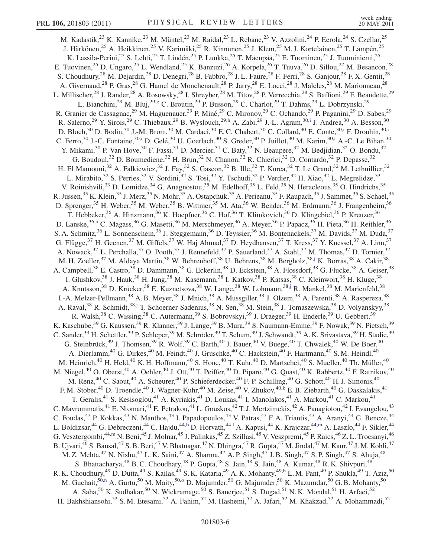<span id="page-5-8"></span><span id="page-5-7"></span><span id="page-5-6"></span><span id="page-5-5"></span><span id="page-5-4"></span><span id="page-5-3"></span><span id="page-5-2"></span><span id="page-5-1"></span><span id="page-5-0"></span>M. Kadastik,<sup>23</sup> K. Kannike,<sup>23</sup> M. Müntel,<sup>23</sup> M. Raidal,<sup>23</sup> L. Rebane,<sup>23</sup> V. Azzolini,<sup>24</sup> P. Eerola,<sup>24</sup> S. Czellar,<sup>25</sup> J. Härkönen,<sup>25</sup> A. Heikkinen,<sup>25</sup> V. Karimäki,<sup>25</sup> R. Kinnunen,<sup>25</sup> J. Klem,<sup>25</sup> M. J. Kortelainen,<sup>25</sup> T. Lampén,<sup>25</sup> K. Lassila-Perini,<sup>25</sup> S. Lehti,<sup>25</sup> T. Lindén,<sup>25</sup> P. Luukka,<sup>25</sup> T. Mäenpää,<sup>25</sup> E. Tuominen,<sup>25</sup> J. Tuominiemi,<sup>25</sup> E. Tuovinen,<sup>25</sup> D. Ungaro,<sup>25</sup> L. Wendland,<sup>25</sup> K. Banzuzi,<sup>26</sup> A. Korpela,<sup>26</sup> T. Tuuva,<sup>26</sup> D. Sillou,<sup>27</sup> M. Besancon,<sup>28</sup> S. Choudhury,<sup>28</sup> M. Dejardin,<sup>28</sup> D. Denegri,<sup>28</sup> B. Fabbro,<sup>28</sup> J.L. Faure,<sup>28</sup> F. Ferri,<sup>28</sup> S. Ganjour,<sup>28</sup> F.X. Gentit,<sup>28</sup> A. Givernaud,<sup>28</sup> P. Gras,<sup>28</sup> G. Hamel de Monchenault,<sup>28</sup> P. Jarry,<sup>28</sup> E. Locci,<sup>28</sup> J. Malcles,<sup>28</sup> M. Marionneau,<sup>28</sup> L. Millischer,<sup>28</sup> J. Rander,<sup>28</sup> A. Rosowsky,<sup>28</sup> I. Shreyber,<sup>28</sup> M. Titov,<sup>28</sup> P. Verrecchia,<sup>28</sup> S. Baffioni,<sup>29</sup> F. Beaudette,<sup>29</sup> L. Bianchini,<sup>29</sup> M. Bluj,<sup>29[,g](#page-13-5)</sup> C. Broutin,<sup>29</sup> P. Busson,<sup>29</sup> C. Charlot,<sup>29</sup> T. Dahms,<sup>29</sup> L. Dobrzynski,<sup>29</sup> R. Granier de Cassagnac,<sup>29</sup> M. Haguenauer,<sup>29</sup> P. Miné,<sup>29</sup> C. Mironov,<sup>29</sup> C. Ochando,<sup>29</sup> P. Paganini,<sup>29</sup> D. Sabes,<sup>29</sup> R. Salerno,<sup>29</sup> Y. Sirois,<sup>29</sup> C. Thiebaux,<sup>29</sup> B. Wyslouch,<sup>29[,h](#page-13-6)</sup> A. Zab[i](#page-13-7),<sup>29</sup> J.-L. Agram,<sup>30,i</sup> J. Andrea,<sup>30</sup> A. Besson,<sup>30</sup> D. Bloch,<sup>30</sup> D. Bod[i](#page-13-7)n,<sup>30</sup> J.-M. Brom,<sup>30</sup> M. Cardaci,<sup>30</sup> E.C. Chabert,<sup>30</sup> C. Collard,<sup>30</sup> E. Conte,<sup>30,i</sup> F. Drouhin,<sup>30,i</sup> C. Ferro,<sup>30</sup> J.-C. Fontaine,<sup>30[,i](#page-13-7)</sup> D. Gelé,<sup>30</sup> U. Goerlach,<sup>30</sup> S. Greder,<sup>30</sup> P. Ju[i](#page-13-7)llot,<sup>30</sup> M. Karim,<sup>30,i</sup> A.-C. Le Bihan,<sup>30</sup> Y. Mikami,<sup>30</sup> P. Van Hove,<sup>30</sup> F. Fassi,<sup>31</sup> D. Mercier,<sup>31</sup> C. Baty,<sup>32</sup> N. Beaupere,<sup>32</sup> M. Bedjidian,<sup>32</sup> O. Bondu,<sup>32</sup> G. Boudoul,<sup>32</sup> D. Boumediene,<sup>32</sup> H. Brun,<sup>32</sup> N. Chanon,<sup>32</sup> R. Chierici,<sup>32</sup> D. Contardo,<sup>32</sup> P. Depasse,<sup>32</sup> H. El Mamouni,<sup>32</sup> A. Falkiewicz,<sup>32</sup> J. Fay,<sup>32</sup> S. Gascon,<sup>32</sup> B. Ille,<sup>32</sup> T. Kurca,<sup>32</sup> T. Le Grand,<sup>32</sup> M. Lethuillier,<sup>32</sup> L. Mirabito,<sup>32</sup> S. Perries,<sup>32</sup> V. Sordini,<sup>32</sup> S. Tosi,<sup>32</sup> Y. Tschudi,<sup>32</sup> P. Verdier,<sup>32</sup> H. Xiao,<sup>32</sup> L. Megrelidze,<sup>33</sup> V. Roinishvili,<sup>33</sup> D. Lomidze,<sup>34</sup> G. Anagnostou,<sup>35</sup> M. Edelhoff,<sup>35</sup> L. Feld,<sup>35</sup> N. Heracleous,<sup>35</sup> O. Hindrichs,<sup>35</sup> R. Jussen,<sup>35</sup> K. Klein,<sup>35</sup> J. Merz,<sup>35</sup> N. Mohr,<sup>35</sup> A. Ostapchuk,<sup>35</sup> A. Perieanu,<sup>35</sup> F. Raupach,<sup>35</sup> J. Sammet,<sup>35</sup> S. Schael,<sup>35</sup> D. Sprenger,<sup>35</sup> H. Weber,<sup>35</sup> M. Weber,<sup>35</sup> B. Wittmer,<sup>35</sup> M. Ata,<sup>36</sup> W. Bender,<sup>36</sup> M. Erdmann,<sup>36</sup> J. Frangenheim,<sup>36</sup> T. Hebbeker,<sup>36</sup> A. Hinzmann,<sup>36</sup> K. Hoepfner,<sup>36</sup> C. Hof,<sup>36</sup> T. Klimkovich,<sup>36</sup> D. Klingebiel,<sup>36</sup> P. Kreuzer,<sup>36</sup> D. L[a](#page-13-8)nske,<sup>36,a</sup> C. Magass,<sup>36</sup> G. Masetti,<sup>36</sup> M. Merschmeyer,<sup>36</sup> A. Meyer,<sup>36</sup> P. Papacz,<sup>36</sup> H. Pieta,<sup>36</sup> H. Reithler,<sup>36</sup> S. A. Schmitz,<sup>36</sup> L. Sonnenschein,<sup>36</sup> J. Steggemann,<sup>36</sup> D. Teyssier,<sup>36</sup> M. Bontenackels,<sup>37</sup> M. Davids,<sup>37</sup> M. Duda,<sup>37</sup> G. Flügge,<sup>37</sup> H. Geenen,<sup>37</sup> M. Giffels,<sup>37</sup> W. Haj Ahmad,<sup>37</sup> D. Heydhausen,<sup>37</sup> T. Kress,<sup>37</sup> Y. Kuessel,<sup>37</sup> A. Linn,<sup>37</sup> A. Nowack,  $37$  L. Perchalla,  $37$  O. Pooth,  $37$  J. Rennefeld,  $37$  P. Sauerland,  $37$  A. Stahl,  $37$  M. Thomas,  $37$  D. Tornier,  $37$ M. H. Zoeller,<sup>37</sup> M. Aldaya Martin,<sup>38</sup> W. Behrenhoff,<sup>38</sup> U. Behrens,<sup>38</sup> M. Bergholz,<sup>38[,j](#page-13-9)</sup> K. Borras,<sup>38</sup> A. Cakir,<sup>38</sup> A. Campbell,<sup>38</sup> E. Castro,<sup>38</sup> D. Dammann,<sup>38</sup> G. Eckerlin,<sup>38</sup> D. Eckstein,<sup>38</sup> A. Flossdorf,<sup>38</sup> G. Flucke,<sup>38</sup> A. Geiser,<sup>38</sup> I. Glushkov,<sup>38</sup> J. Hauk,<sup>38</sup> H. Jung,<sup>38</sup> M. Kasemann,<sup>38</sup> I. Katkov,<sup>38</sup> P. Katsas,<sup>38</sup> C. Kleinwort,<sup>38</sup> H. Kluge,<sup>38</sup> A. Knutsson,<sup>38</sup> D. Krücker,<sup>38</sup> E. Kuznetsova,<sup>38</sup> W. Lange,<sup>38</sup> W. Lohmann,<sup>38,[j](#page-13-9)</sup> R. Mankel,<sup>38</sup> M. Marienfeld,<sup>38</sup> I.-A. Melzer-Pellmann,<sup>38</sup> A. B. Meyer,<sup>38</sup> J. Mnich,<sup>38</sup> A. Mussgiller,<sup>38</sup> J. Olzem,<sup>38</sup> A. Parenti,<sup>38</sup> A. Raspereza,<sup>38</sup> A. Raval,<sup>38</sup> R. Schmidt,<sup>38,[j](#page-13-9)</sup> T. Schoerner-Sadenius,<sup>38</sup> N. Sen,<sup>38</sup> M. Stein,<sup>38</sup> J. Tomaszewska,<sup>38</sup> D. Volyanskyy,<sup>38</sup> R. Walsh,<sup>38</sup> C. Wissing,<sup>38</sup> C. Autermann,<sup>39</sup> S. Bobrovskyi,<sup>39</sup> J. Draeger,<sup>39</sup> H. Enderle,<sup>39</sup> U. Gebbert,<sup>39</sup> K. Kaschube,<sup>39</sup> G. Kaussen,<sup>39</sup> R. Klanner,<sup>39</sup> J. Lange,<sup>39</sup> B. Mura,<sup>39</sup> S. Naumann-Emme,<sup>39</sup> F. Nowak,<sup>39</sup> N. Pietsch,<sup>39</sup> C. Sander,<sup>39</sup> H. Schettler,<sup>39</sup> P. Schleper,<sup>39</sup> M. Schröder,<sup>39</sup> T. Schum,<sup>39</sup> J. Schwandt,<sup>39</sup> A. K. Srivastava,<sup>39</sup> H. Stadie,<sup>39</sup> G. Steinbrück,<sup>39</sup> J. Thomsen,<sup>39</sup> R. Wolf,<sup>39</sup> C. Barth,<sup>40</sup> J. Bauer,<sup>40</sup> V. Buege,<sup>40</sup> T. Chwalek,<sup>40</sup> W. De Boer,<sup>40</sup> A. Dierlamm,<sup>40</sup> G. Dirkes,<sup>40</sup> M. Feindt,<sup>40</sup> J. Gruschke,<sup>40</sup> C. Hackstein,<sup>40</sup> F. Hartmann,<sup>40</sup> S. M. Heindl,<sup>40</sup> M. Heinrich,<sup>40</sup> H. Held,<sup>40</sup> K. H. Hoffmann,<sup>40</sup> S. Honc,<sup>40</sup> T. Kuhr,<sup>40</sup> D. Martschei,<sup>40</sup> S. Mueller,<sup>40</sup> Th. Müller,<sup>40</sup> M. Niegel, $^{40}$  O. Oberst, $^{40}$  A. Oehler, $^{40}$  J. Ott, $^{40}$  T. Peiffer, $^{40}$  D. Piparo, $^{40}$  G. Quast, $^{40}$  K. Rabbertz, $^{40}$  F. Ratnikov, $^{40}$ M. Renz,  $^{40}$  C. Saout,  $^{40}$  A. Scheurer,  $^{40}$  P. Schieferdecker,  $^{40}$  F.-P. Schilling,  $^{40}$  G. Schott,  $^{40}$  H. J. Simonis,  $^{40}$ F. M. Stober,<sup>40</sup> D. Troendle,<sup>40</sup> J. Wagner-Kuhr,<sup>40</sup> M. Zeise,<sup>40</sup> V. Zhu[k](#page-13-10)ov,<sup>40,k</sup> E. B. Ziebarth,<sup>40</sup> G. Daskalakis,<sup>41</sup> T. Geralis,<sup>41</sup> S. Kesisoglou,<sup>41</sup> A. Kyriakis,<sup>41</sup> D. Loukas,<sup>41</sup> I. Manolakos,<sup>41</sup> A. Markou,<sup>41</sup> C. Markou,<sup>41</sup> C. Mavrommatis,<sup>41</sup> E. Ntomari,<sup>41</sup> E. Petrakou,<sup>41</sup> L. Gouskos,<sup>42</sup> T. J. Mertzimekis,<sup>42</sup> A. Panagiotou,<sup>42</sup> I. Evangelou,<sup>43</sup> C. Foudas,  $^{43}$  P. Kokkas,  $^{43}$  N. Manthos,  $^{43}$  I. Papadopoulos,  $^{43}$  V. Patras,  $^{43}$  F. A. Triantis,  $^{43}$  A. Aranyi,  $^{44}$  G. Bencze,  $^{44}$ L. Boldizsar,<sup>44</sup> G. De[b](#page-13-0)reczeni,<sup>44</sup> C. Hajdu,<sup>44,b</sup> D. Horvath,<sup>44[,l](#page-13-11)</sup> A. Kapusi,<sup>44</sup> K. Krajczar,<sup>44,[m](#page-13-12)</sup> A. Laszlo,<sup>44</sup> F. Sikler,<sup>44</sup> G. Vesztergombi,<sup>44[,m](#page-13-12)</sup> N. Beni,<sup>45</sup> J. Molnar,<sup>45</sup> J. Palinkas,<sup>45</sup> Z. Szillasi,<sup>45</sup> V. Veszpremi,<sup>45</sup> P. Raics,<sup>46</sup> Z. L. Trocsanyi,<sup>46</sup> B. Ujvari,<sup>46</sup> S. Bansal,<sup>47</sup> S. B. Beri,<sup>47</sup> V. Bhatnagar,<sup>47</sup> N. Dhingra,<sup>47</sup> R. Gupta,<sup>47</sup> M. Jindal,<sup>47</sup> M. Kaur,<sup>47</sup> J. M. Kohli,<sup>47</sup> M. Z. Mehta,<sup>47</sup> N. Nishu,<sup>47</sup> L. K. Saini,<sup>47</sup> A. Sharma,<sup>47</sup> A. P. Singh,<sup>47</sup> J. B. Singh,<sup>47</sup> S. P. Singh,<sup>47</sup> S. Ahuja,<sup>48</sup> S. Bhattacharya,<sup>48</sup> B. C. Choudhary,<sup>48</sup> P. Gupta,<sup>48</sup> S. Jain,<sup>48</sup> S. Jain,<sup>48</sup> A. Kumar,<sup>48</sup> R. K. Shivpuri,<sup>48</sup> R. K. Choudhury,<sup>49</sup> D. Dutta,<sup>49</sup> S. Kailas,<sup>49</sup> S. K. Kataria,<sup>49</sup> A. K. Mohanty,<sup>49[,b](#page-13-0)</sup> L. M. Pant,<sup>49</sup> P. Shukla,<sup>49</sup> T. Aziz,<sup>50</sup> M. Guchait,<sup>50[,n](#page-13-13)</sup> A. Gurtu,<sup>50</sup> M. Maity,<sup>50,[o](#page-13-14)</sup> D. Majumder,<sup>50</sup> G. Majumder,<sup>50</sup> K. Mazumdar,<sup>50</sup> G. B. Mohanty,<sup>50</sup> A. Saha,<sup>50</sup> K. Sudhakar,<sup>50</sup> N. Wickramage,<sup>50</sup> S. Banerjee,<sup>51</sup> S. Dugad,<sup>51</sup> N. K. Mondal,<sup>51</sup> H. Arfaei,<sup>52</sup> H. Bakhshiansohi,<sup>52</sup> S. M. Etesami,<sup>52</sup> A. Fahim,<sup>52</sup> M. Hashemi,<sup>52</sup> A. Jafari,<sup>52</sup> M. Khakzad,<sup>52</sup> A. Mohammadi,<sup>52</sup>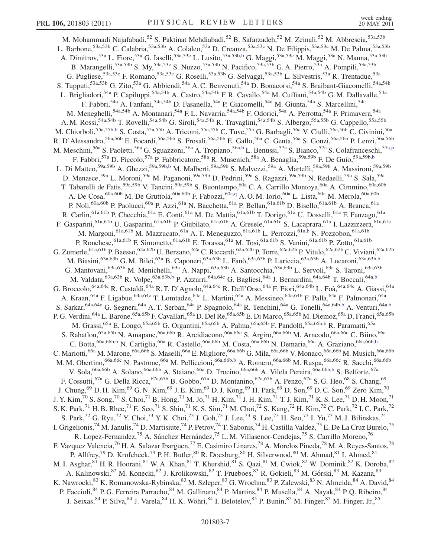<span id="page-6-1"></span><span id="page-6-0"></span>M. Mohammadi Najafabadi,<sup>52</sup> S. Paktinat Mehdiabadi,<sup>52</sup> B. Safarzadeh,<sup>52</sup> M. Zeinali,<sup>52</sup> M. Abbrescia,<sup>53a,53b</sup> L. Barbone,<sup>53a,53b</sup> C. Calabria,<sup>53a,53b</sup> A. Colaleo,<sup>53a</sup> D. Creanza,<sup>53a,53c</sup> N. De Filippis,<sup>53a,53c</sup> M. De Palma,<sup>53a,53b</sup> A. Dimitrov,<sup>53a</sup> L. Fiore,<sup>53a</sup> G. Iaselli,<sup>53a,53c</sup> L. Lusito,<sup>53a,53[b](#page-13-0),b</sup> G. Maggi,<sup>53a,53c</sup> M. Maggi,<sup>53a</sup> N. Manna,<sup>53a,53b</sup> B. Marangelli,<sup>53a,53b</sup> S. My,<sup>53a,53c</sup> S. Nuzzo,<sup>53a,53b</sup> N. Pacifico,<sup>53a,53b</sup> G. A. Pierro,<sup>53a</sup> A. Pompili,<sup>53a,53b</sup> G. Pugliese,<sup>53a,53c</sup> F. Romano,<sup>53a,53c</sup> G. Roselli,<sup>53a,53b</sup> G. Selvaggi,<sup>53a,53b</sup> L. Silvestris,<sup>53a</sup> R. Trentadue,<sup>53a</sup> S. Tupputi,<sup>53a,53b</sup> G. Zito,<sup>53a</sup> G. Abbiendi,<sup>54a</sup> A.C. Benvenuti,<sup>54a</sup> D. Bonacorsi,<sup>54a</sup> S. Braibant-Giacomelli,<sup>54a,54b</sup> L. Brigliadori,<sup>54a</sup> P. Capiluppi,<sup>54a,54b</sup> A. Castro,<sup>54a,54b</sup> F. R. Cavallo,<sup>54a</sup> M. Cuffiani,<sup>54a,54b</sup> G. M. Dallavalle,<sup>54a</sup> F. Fabbri,<sup>54a</sup> A. Fanfani,<sup>54a,54b</sup> D. Fasanella,<sup>54a</sup> P. Giacomelli,<sup>54a</sup> M. Giunta,<sup>54a</sup> S. Marcellini,<sup>54a</sup> M. Meneghelli,<sup>54a,54b</sup> A. Montanari,<sup>54a</sup> F.L. Navarria,<sup>54a,54b</sup> F. Odorici,<sup>54a</sup> A. Perrotta,<sup>54a</sup> F. Primavera,<sup>54a</sup> A. M. Rossi,<sup>54a,54b</sup> T. Rovelli,<sup>54a,54b</sup> G. Siroli,<sup>54a,54b</sup> R. Travaglini,<sup>54a,54b</sup> S. Albergo,<sup>55a,55b</sup> G. Cappello,<sup>55a,55b</sup> M. Chiorboli,<sup>55a,55b[,b](#page-13-0)</sup> S. Costa,<sup>55a,55b</sup> A. Tricomi,<sup>55a,55b</sup> C. Tuve,<sup>55a</sup> G. Barbagli,<sup>56a</sup> V. Ciulli,<sup>56a,56b</sup> C. Civinini,<sup>56a</sup> R. D'Alessandro,<sup>56a,56b</sup> E. Focardi,<sup>56a,56b</sup> S. Frosali,<sup>56a,56b</sup> E. Gallo,<sup>56a</sup> C. Genta,<sup>56a</sup> S. Gonzi,<sup>56a,56b</sup> P. Lenzi,<sup>56a,56b</sup> M. Meschini,<sup>56a</sup> S. Paoletti,<sup>56a</sup> G. Sguazzoni,<sup>56a</sup> A. Tropiano,<sup>56a[,b](#page-13-0)</sup> L. Benussi,<sup>57a</sup> S. Bianco,<sup>57a</sup> S. Colafranceschi,<sup>57a[,p](#page-13-15)</sup> F. Fa[b](#page-13-0)bri,<sup>57a</sup> D. Piccolo,<sup>57a</sup> P. Fabbricatore,<sup>58a</sup> R. Musenich,<sup>58a</sup> A. Benaglia,<sup>59a,59b</sup> F. De Guio,<sup>59a,59b,b</sup> L. Di Matteo,<sup>59a,59b</sup> A. Ghezzi,<sup>59a,59b[,b](#page-13-0)</sup> M. Malberti,<sup>59a,59b</sup> S. Malvezzi,<sup>59a</sup> A. Martelli,<sup>59a,59b</sup> A. Massironi,<sup>59a,59b</sup> A. D. Menasce,<sup>59a</sup> L. Moroni,<sup>59a</sup> M. Paganoni,<sup>59a,59b</sup> D. Pedrini,<sup>59a</sup> S. Ragazzi,<sup>59a,59b</sup> N. Redaelli,<sup>59a</sup> S. Sala,<sup>59a</sup>, T. Tabarelli de Fatis,<sup>59a,59b</sup> V. Tancini,<sup>59a,59b</sup> S. Buontempo,<sup>60a</sup> C. A. Carrillo Montoya,<sup>60a</sup> A. Cimmino,<sup>60a,60b</sup> A. De Cosa,<sup>60a,60b</sup> M. De Gruttola,<sup>60a,60b</sup> F. Fabozzi,<sup>60a,[q](#page-13-16)</sup> A. O. M. Iorio,<sup>60a</sup> L. Lista,<sup>60a</sup> M. Merola,<sup>60a,60b</sup> P. Noli,<sup>60a,60b</sup> P. Paolucci,<sup>60a</sup> P. Azzi,<sup>61a</sup> N. Bacchetta,<sup>61a</sup> P. Bellan,<sup>61a,61b</sup> D. Bisello,<sup>61a,61b</sup> A. Branca,<sup>61a</sup> R. Carlin,<sup>61a,61b</sup> P. Checchia,<sup>61a</sup> E. Conti,<sup>61a</sup> M. De Mattia,<sup>61a,61b</sup> T. Dorigo,<sup>61a</sup> U. Dosselli,<sup>61a</sup> F. Fanzago,<sup>61a</sup> F. Gasparini,<sup>61a,61b</sup> U. Gasparini,<sup>61a,61b</sup> P. Giubilato,<sup>61a,61b</sup> A. Gresele,<sup>61a,61c</sup> S. Lacaprara,<sup>61a</sup> I. Lazzizzera,<sup>61a,61c</sup> M. Margoni,<sup>61a,61[b](#page-13-0)</sup> M. Mazzucato,<sup>61a</sup> A. T. Meneguzzo,<sup>61a,61b</sup> L. Perrozzi,<sup>61a,b</sup> N. Pozzobon,<sup>61a,61b</sup> P. Ronchese,<sup>61a,61b</sup> F. Simonetto,<sup>61a,61b</sup> E. Torassa,<sup>61a</sup> M. Tosi,<sup>61a,61b</sup> S. Vanini,<sup>61a,61b</sup> P. Zotto,<sup>61a,61b</sup> G. Zumerle,  ${}^{61a,61b}$  P. Baesso, ${}^{62a,62b}$  U. Berzano, ${}^{62a}$  C. Riccardi, ${}^{62a,62b}$  P. Torre, ${}^{62a,62b}$  P. Vitulo, ${}^{62a,62b}$  C. Viviani, ${}^{62a,62b}$ M. Biasini,<sup>63a,63[b](#page-13-0)</sup> G.M. Bilei,<sup>63a</sup> B. Caponeri,<sup>63a,63b</sup> L. Fanò,<sup>63a,63b</sup> P. Lariccia,<sup>63a,63b</sup> A. Lucaroni,<sup>63a,63b,b</sup> G. Mantovani, <sup>63a,63b</sup> M. Menichelli, <sup>63a</sup> A. Nappi, <sup>63a,63b</sup> A. Santocchia, <sup>63a,63b</sup> L. Servoli, <sup>63a</sup> S. Taroni, <sup>63a,63b</sup> M. Valdata,  $63a,63b$  R. Volpe,  $63a,63b, b$  P. Azzurri,  $64a,64c$  G. Bagliesi,  $64a$  J. Bernardini,  $64a,64b$  T. Boccali,  $64a,b$  $64a,b$ G. Broccolo,<sup>64a,64c</sup> R. Castaldi,<sup>64a</sup> R. T. D'Agnolo,<sup>64a,64c</sup> R. Dell'Orso,<sup>64a</sup> F. Fiori,<sup>64a,64b</sup> L. Foà,<sup>64a,64c</sup> A. Giassi,<sup>64a</sup> A. Kraan,  $^{64a}$  F. Ligabue,  $^{64a, 64c}$  T. Lomtadze,  $^{64a}$  L. Martini, $^{64a}$  A. Messineo,  $^{64a, 64b}$  F. Palla,  $^{64a}$  F. Palmonari,  $^{64a}$ S. Sarkar,<sup>64a,64c</sup> G. Segneri,<sup>64a</sup> A. T. Serban,<sup>64a</sup> P. Spagnolo,<sup>64a</sup> R. Tenchini,<sup>64a</sup> G. Tonelli,<sup>64a,64b[,b](#page-13-0)</sup> A. Venturi,<sup>64a,b</sup> P. G. Verdini,<sup>64a</sup> L. Barone,<sup>65a,65b</sup> F. Cavallari,<sup>65a</sup> D. Del Re,<sup>65a,65b</sup> E. Di Marco,<sup>65a,65b</sup> M. Diemoz,<sup>65a</sup> D. Franci,<sup>65a,65b</sup> M. Grassi,<sup>65a</sup> E. Longo,<sup>65a,65[b](#page-13-0)</sup> G. Organtini,<sup>65a,65b</sup> A. Palma,<sup>65a,65b</sup> F. Pandolfi,<sup>65a,65b,b</sup> R. Paramatti,<sup>65a</sup>, S. Rahatlou,<sup>65a,65b</sup> N. Amapane,<sup>66a,66b</sup> R. Arcidiacono,<sup>66a,66c</sup> S. Argiro,<sup>66a,66b</sup> M. Arneodo,<sup>66a,66c</sup> C. Biino,<sup>66a</sup> C. Botta, <sup>66a, 66[b](#page-13-0), b</sup> N. Cartiglia, <sup>66a</sup> R. Castello, <sup>66a, 66b</sup> M. Costa, <sup>66a, 66b</sup> N. Demaria, <sup>66a</sup> A. Graziano, <sup>66a, 66b, b</sup> C. Mariotti,<sup>66a</sup> M. Marone,<sup>66a,66b</sup> S. Maselli,<sup>66a</sup> E. Migliore,<sup>66a,66b</sup> G. Mila,<sup>66a,66b</sup> V. Monaco,<sup>66a,66b</sup> M. Musich,<sup>66a,66b</sup> M. M. O[b](#page-13-0)ertino, <sup>66a,66c</sup> N. Pastrone, <sup>66a</sup> M. Pelliccioni, <sup>66a,66b,b</sup> A. Romero, <sup>66a,66b</sup> M. Ruspa, <sup>66a,66c</sup> R. Sacchi, <sup>66a,66b</sup> V. Sola,<sup>66a,66b</sup> A. Solano,<sup>66a,66b</sup> A. Staiano,<sup>66a</sup> D. Trocino,<sup>66a,66b</sup> A. Vilela Pereira,<sup>66a,66b[,b](#page-13-0)</sup> S. Belforte,<sup>67a</sup> F. Cossutti, <sup>67a</sup> G. Della Ricca, <sup>67a, 67b</sup> B. Gobbo, <sup>67a</sup> D. Montanino, <sup>67a, 67b</sup> A. Penzo, <sup>67a</sup> S. G. Heo, <sup>68</sup> S. Chang, <sup>69</sup> J. Chung,<sup>69</sup> D. H. Kim,<sup>69</sup> G. N. Kim,<sup>69</sup> J. E. Kim,<sup>69</sup> D. J. Kong,<sup>69</sup> H. Park,<sup>69</sup> D. Son,<sup>69</sup> D. C. Son,<sup>69</sup> Zero Kim,<sup>70</sup> J. Y. Kim,<sup>70</sup> S. Song,<sup>70</sup> S. Choi,<sup>71</sup> B. Hong,<sup>71</sup> M. Jo,<sup>71</sup> H. Kim,<sup>71</sup> J. H. Kim,<sup>71</sup> T. J. Kim,<sup>71</sup> K. S. Lee,<sup>71</sup> D. H. Moon,<sup>71</sup> S. K. Park,<sup>71</sup> H. B. Rhee,<sup>71</sup> E. Seo,<sup>71</sup> S. Shin,<sup>71</sup> K. S. Sim,<sup>71</sup> M. Choi,<sup>72</sup> S. Kang,<sup>72</sup> H. Kim,<sup>72</sup> C. Park,<sup>72</sup> I. C. Park,<sup>72</sup> S. Park,<sup>72</sup> G. Ryu,<sup>72</sup> Y. Choi,<sup>73</sup> Y. K. Choi,<sup>73</sup> J. Goh,<sup>73</sup> J. Lee,<sup>73</sup> S. Lee,<sup>73</sup> H. Seo,<sup>73</sup> I. Yu,<sup>73</sup> M. J. Bilinskas,<sup>74</sup> I. Grigelionis,<sup>74</sup> M. Janulis,<sup>74</sup> D. Martisiute,<sup>74</sup> P. Petrov,<sup>74</sup> T. Sabonis,<sup>74</sup> H. Castilla Valdez,<sup>75</sup> E. De La Cruz Burelo,<sup>75</sup> R. Lopez-Fernandez,<sup>75</sup> A. Sánchez Hernández,<sup>75</sup> L. M. Villasenor-Cendejas,<sup>75</sup> S. Carrillo Moreno,<sup>76</sup> F. Vazquez Valencia,<sup>76</sup> H. A. Salazar Ibarguen,<sup>77</sup> E. Casimiro Linares,<sup>78</sup> A. Morelos Pineda,<sup>78</sup> M. A. Reyes-Santos,<sup>78</sup> P. Allfrey,<sup>79</sup> D. Krofcheck,<sup>79</sup> P. H. Butler,<sup>80</sup> R. Doesburg,<sup>80</sup> H. Silverwood,<sup>80</sup> M. Ahmad,<sup>81</sup> I. Ahmed,<sup>81</sup> M. I. Asghar, <sup>81</sup> H. R. Hoorani, <sup>81</sup> W. A. Khan, <sup>81</sup> T. Khurshid, <sup>81</sup> S. Qazi, <sup>81</sup> M. Cwiok, <sup>82</sup> W. Dominik, <sup>82</sup> K. Doroba, <sup>82</sup> A. Kalinowski,<sup>82</sup> M. Konecki,<sup>82</sup> J. Krolikowski,<sup>82</sup> T. Frueboes,<sup>83</sup> R. Gokieli,<sup>83</sup> M. Górski,<sup>83</sup> M. Kazana,<sup>83</sup> K. Nawrocki, $^{83}$  K. Romanowska-Rybinska, $^{83}$  M. Szleper, $^{83}$  G. Wrochna, $^{83}$  P. Zalewski, $^{83}$  N. Almeida, $^{84}$  A. David, $^{84}$ P. Faccioli,<sup>84</sup> P. G. Ferreira Parracho,<sup>84</sup> M. Gallinaro,<sup>84</sup> P. Martins,<sup>84</sup> P. Musella,<sup>84</sup> A. Nayak,<sup>84</sup> P. Q. Ribeiro,<sup>84</sup> J. Seixas, <sup>84</sup> P. Silva, <sup>84</sup> J. Varela, <sup>84</sup> H. K. Wöhri, <sup>84</sup> I. Belotelov, <sup>85</sup> P. Bunin, <sup>85</sup> M. Finger, <sup>85</sup> M. Finger, Jr., <sup>85</sup>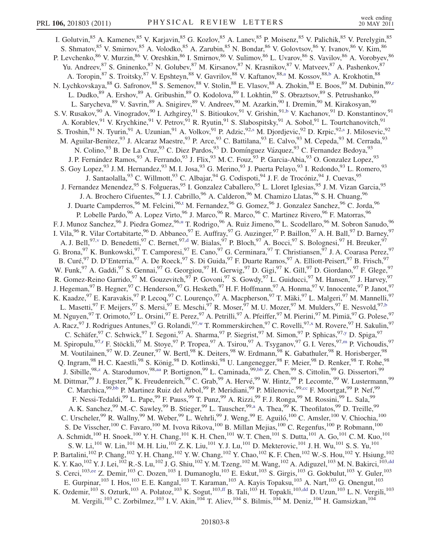<span id="page-7-10"></span><span id="page-7-9"></span><span id="page-7-8"></span><span id="page-7-7"></span><span id="page-7-6"></span><span id="page-7-5"></span><span id="page-7-4"></span><span id="page-7-3"></span><span id="page-7-2"></span><span id="page-7-1"></span><span id="page-7-0"></span>I. Golutvin, <sup>85</sup> A. Kamenev, <sup>85</sup> V. Karjavin, <sup>85</sup> G. Kozlov, <sup>85</sup> A. Lanev, <sup>85</sup> P. Moisenz, <sup>85</sup> V. Palichik, <sup>85</sup> V. Perelygin, <sup>85</sup> S. Shmatov, <sup>85</sup> V. Smirnov, <sup>85</sup> A. Volodko, <sup>85</sup> A. Zarubin, <sup>85</sup> N. Bondar, <sup>86</sup> V. Golovtsov, <sup>86</sup> Y. Ivanov, <sup>86</sup> V. Kim, <sup>86</sup> P. Levchenko, <sup>86</sup> V. Murzin, <sup>86</sup> V. Oreshkin, <sup>86</sup> I. Smirnov, <sup>86</sup> V. Sulimov, <sup>86</sup> L. Uvarov, <sup>86</sup> S. Vavilov, <sup>86</sup> A. Vorobyev, <sup>86</sup> Yu. Andreev, <sup>87</sup> S. Gninenko, <sup>87</sup> N. Golubev, <sup>87</sup> M. Kirsanov, <sup>87</sup> N. Krasnikov, <sup>87</sup> V. Matveev, <sup>87</sup> A. Pashenkov, <sup>87</sup> A. Toropin, <sup>87</sup> S. Troitsky, <sup>87</sup> V. Epshteyn, <sup>88</sup> V. G[a](#page-13-8)vrilov, <sup>88</sup> V. Kaftanov, <sup>88,a</sup> M. Kossov, <sup>88,[b](#page-13-0)</sup> A. Krokhotin, <sup>88</sup> N. Lychkovskaya, <sup>88</sup> G. Safronov, <sup>88</sup> S. Semenov, <sup>88</sup> V. Stolin, <sup>88</sup> E. Vlasov, <sup>88</sup> A. Zhokin, <sup>88</sup> E. Boos, <sup>89</sup> M. Dubinin, <sup>89[,r](#page-13-17)</sup> L. Dudko,<sup>89</sup> A. Ershov,<sup>89</sup> A. Gribushin,<sup>89</sup> O. Kodolova,<sup>89</sup> I. Lokhtin,<sup>89</sup> S. Obraztsov,<sup>89</sup> S. Petrushanko,<sup>89</sup> L. Sarycheva, <sup>89</sup> V. Savrin, <sup>89</sup> A. Snigirev, <sup>89</sup> V. Andreev, <sup>90</sup> M. Azarkin, <sup>90</sup> I. Dremin, <sup>90</sup> M. Kirakosyan, <sup>90</sup> S. V. Rusakov, <sup>90</sup> A. Vinogradov, <sup>90</sup> I. Azhgirey, <sup>91</sup> S. Bitioukov, <sup>91</sup> V. Grishin, <sup>91[,b](#page-13-0)</sup> V. Kachanov, <sup>91</sup> D. Konstantinov, <sup>91</sup> A. Korablev,<sup>91</sup> V. Krychkine,<sup>91</sup> V. Petrov,<sup>91</sup> R. Ryutin,<sup>91</sup> S. Slabospitsky,<sup>91</sup> A. Sobol,<sup>91</sup> L. Tourtchanovitch,<sup>91</sup> S. Troshin,<sup>91</sup> N. Tyurin,<sup>91</sup> A. Uzunian,<sup>91</sup> A. Volkov,<sup>91</sup> P. Adzic,<sup>92[,s](#page-13-18)</[s](#page-13-18)up> M. Djordjevic,<sup>92</sup> D. Krpic,<sup>92,s</sup> J. Milosevic,<sup>92</sup> M. Aguilar-Benitez,<sup>93</sup> J. Alcaraz Maestre,<sup>93</sup> P. Arce,<sup>93</sup> C. Battilana,<sup>93</sup> E. Calvo,<sup>93</sup> M. Cepeda,<sup>93</sup> M. Cerrada,<sup>93</sup> N. Colino, <sup>93</sup> B. De La Cruz, <sup>93</sup> C. Diez Pardos, <sup>93</sup> D. Domínguez Vázquez, <sup>93</sup> C. Fernandez Bedoya, <sup>93</sup> J. P. Fernández Ramos, <sup>93</sup> A. Ferrando, <sup>93</sup> J. Flix, <sup>93</sup> M. C. Fouz, <sup>93</sup> P. Garcia-Abia, <sup>93</sup> O. Gonzalez Lopez, <sup>93</sup> S. Goy Lopez, <sup>93</sup> J. M. Hernandez, <sup>93</sup> M. I. Josa, <sup>93</sup> G. Merino, <sup>93</sup> J. Puerta Pelayo, <sup>93</sup> I. Redondo, <sup>93</sup> L. Romero, <sup>93</sup> J. Santaolalla, <sup>93</sup> C. Willmott, <sup>93</sup> C. Albajar, <sup>94</sup> G. Codispoti, <sup>94</sup> J. F. de Trocóniz, <sup>94</sup> J. Cuevas, <sup>95</sup> J. Fernandez Menendez, <sup>95</sup> S. Folgueras, <sup>95</sup> I. Gonzalez Caballero, <sup>95</sup> L. Lloret Iglesias, <sup>95</sup> J. M. Vizan Garcia, <sup>95</sup> J. A. Brochero Cifuentes, <sup>96</sup> I. J. Cabrillo, <sup>96</sup> A. Calderon, <sup>96</sup> M. Chamizo Llatas, <sup>96</sup> S. H. Chuang, <sup>96</sup> J. Duar[t](#page-13-19)e Campderros, <sup>96</sup> M. Felcini, <sup>96,t</sup> M. Fernandez, <sup>96</sup> G. Gomez, <sup>96</sup> J. Gonzalez Sanchez, <sup>96</sup> C. Jorda, <sup>96</sup> P. Lobelle Pardo, <sup>96</sup> A. Lopez Virto, <sup>96</sup> J. Marco, <sup>96</sup> R. Marco, <sup>96</sup> C. Martinez Rivero, <sup>96</sup> F. Matorras, <sup>96</sup> F. J. M[u](#page-13-20)noz Sanchez, <sup>96</sup> J. Piedra Gomez, <sup>96,u</sup> T. Rodrigo, <sup>96</sup> A. Ruiz Jimeno, <sup>96</sup> L. Scodellaro, <sup>96</sup> M. Sobron Sanudo, <sup>96</sup> I. Vila,  $96$  R. Vilar Cortabitarte,  $96$  D. Abbaneo,  $97$  E. Auffray,  $97$  G. Auzinger,  $97$  P. Baillon,  $97$  A. H. Ball,  $97$  D. Barney,  $97$ A. J. Bell,<sup>97[,v](#page-13-21)</sup> D. Benedetti,<sup>97</sup> C. Bernet,<sup>97[,d](#page-13-2)</sup> W. Bialas,<sup>97</sup> P. Bloch,<sup>97</sup> A. Bocci,<sup>97</sup> S. Bolognesi,<sup>97</sup> H. Breuker,<sup>97</sup> G. Brona, <sup>97</sup> K. Bunkowski, <sup>97</sup> T. Camporesi, <sup>97</sup> E. Cano, <sup>97</sup> G. Cerminara, <sup>97</sup> T. Christiansen, <sup>97</sup> J. A. Coarasa Perez, <sup>97</sup> B. Curé,<sup>97</sup> D. D'Enterria,<sup>97</sup> A. De Roeck,<sup>97</sup> S. Di Guida,<sup>97</sup> F. Duarte Ramos,<sup>97</sup> A. Elliott-Peisert,<sup>97</sup> B. Frisch,<sup>97</sup> W. Funk,  $97$  A. Gaddi,  $97$  S. Gennai,  $97$  G. Georgiou,  $97$  H. Gerwig,  $97$  D. Gigi,  $97$  K. Gill,  $97$  D. Giordano,  $97$  F. Glege,  $97$ R. Gomez-Reino Garrido,<sup>97</sup> M. Gouzevitch,<sup>97</sup> P. Govoni,<sup>97</sup> S. Gowdy,<sup>97</sup> L. Guiducci,<sup>97</sup> M. Hansen,<sup>97</sup> J. Harvey,<sup>97</sup> J. Hegeman, <sup>97</sup> B. Hegner, <sup>97</sup> C. Henderson, <sup>97</sup> G. Hesketh, <sup>97</sup> H. F. Hoffmann, <sup>97</sup> A. Honma, <sup>97</sup> V. Innocente, <sup>97</sup> P. Janot, <sup>97</sup> K. Kaadze, <sup>97</sup> E. Karavakis, <sup>97</sup> P. Lecoq, <sup>97</sup> C. Lourenço, <sup>97</sup> A. Macpherson, <sup>97</sup> T. Mäki, <sup>97</sup> L. Malgeri, <sup>97</sup> M. Mannelli, <sup>97</sup> L. Masetti, <sup>97</sup> F. Meijers, <sup>97</sup> S. Mersi, <sup>97</sup> E. Meschi, <sup>97</sup> R. Moser, <sup>97</sup> M. U. Mozer, <sup>97</sup> M. Mulders, <sup>97</sup> E. Nesvold, <sup>97[,b](#page-13-0)</sup> M. Nguyen,<sup>97</sup> T. Orimoto,<sup>97</sup> L. Orsini,<sup>97</sup> E. Perez,<sup>97</sup> A. Petrilli,<sup>97</sup> A. Pfeiffer,<sup>97</sup> M. Pierini,<sup>97</sup> M. Pimiä,<sup>97</sup> G. Polese,<sup>97</sup> A. Racz,<sup>97</sup> J. Rodrigues Antunes,<sup>97</sup> G. Rolandi,<sup>97,[w](#page-13-22)</sup> T. Rommerskirchen,<sup>97</sup> C. Rovelli,<sup>97,[x](#page-13-23)</sup> M. Rovere,<sup>97</sup> H. Sakulin,<sup>97</sup> C. Schäfer,<sup>97</sup> C. Schwick,<sup>97</sup> I. Segoni,<sup>97</sup> A. Sharma,<sup>97</sup> P. Siegrist,<sup>97</sup> M. Simon,<sup>97</sup> P. Sphicas,<sup>97[,y](#page-14-0)</sup> D. Spiga,<sup>97</sup> M. Spi[r](#page-13-17)opulu,<sup>97,r</sup> F. Stöckli,<sup>97</sup> M. Stoye,<sup>97</sup> P. Tropea,<sup>97</sup> A. Tsirou,<sup>97</sup> A. Tsyganov,<sup>97</sup> G. I. Veres, <sup>97[,m](#page-13-12)</sup> P. Vichoudis, <sup>97</sup> M. Voutilainen, <sup>97</sup> W. D. Zeuner, <sup>97</sup> W. Bertl, <sup>98</sup> K. Deiters, <sup>98</sup> W. Erdmann, <sup>98</sup> K. Gabathuler, <sup>98</sup> R. Horisberger, <sup>98</sup> Q. Ingram, <sup>98</sup> H. C. Kaestli, <sup>98</sup> S. König, <sup>98</sup> D. Kotlinski, <sup>98</sup> U. Langenegger, <sup>98</sup> F. Meier, <sup>98</sup> D. Renker, <sup>98</sup> T. Rohe, <sup>98</sup> J. Sibille,<sup>98,[z](#page-14-1)</sup> A. Starodumov,<sup>98[,aa](#page-14-2)</sup> P. Bortignon,<sup>99</sup> L. Caminada,<sup>99[,bb](#page-14-3)</sup> Z. Chen,<sup>99</sup> S. Cittolin,<sup>99</sup> G. Dissertori,<sup>99</sup> M. Dittmar,<sup>99</sup> J. Eugster,<sup>99</sup> K. Freudenreich,<sup>99</sup> C. Grab,<sup>99</sup> A. Hervé,<sup>99</sup> W. Hintz,<sup>99</sup> P. Lecomte,<sup>99</sup> W. Lustermann,<sup>99</sup> C. Marchica,<sup>99,[bb](#page-14-3)</sup> P. Martinez Ruiz del Arbol,<sup>99</sup> P. Meridiani,<sup>99</sup> P. Milenovic,<sup>99[,cc](#page-14-4)</sup> F. Moortgat,<sup>99</sup> P. Nef,<sup>99</sup> F. Nessi-Tedaldi,<sup>99</sup> L. Pape,<sup>99</sup> F. Pauss,<sup>99</sup> T. Punz,<sup>99</sup> A. Rizzi,<sup>99</sup> F. J. Ronga,<sup>99</sup> M. Rossini,<sup>99</sup> L. Sala,<sup>99</sup> A. K. Sanchez,<sup>99</sup> M.-C. Sawley,<sup>99</sup> B. Stieger,<sup>99</sup> L. Tauscher,<sup>99[,a](#page-13-8)</sup> A. Thea,<sup>99</sup> K. Theofilatos,<sup>99</sup> D. Treille,<sup>99</sup> C. Urscheler, <sup>99</sup> R. Wallny, <sup>99</sup> M. Weber, <sup>99</sup> L. Wehrli, <sup>99</sup> J. Weng, <sup>99</sup> E. Aguiló, <sup>100</sup> C. Amsler, <sup>100</sup> V. Chiochia, <sup>100</sup> S. De Visscher,<sup>100</sup> C. Favaro,<sup>100</sup> M. Ivova Rikova,<sup>100</sup> B. Millan Mejias,<sup>100</sup> C. Regenfus,<sup>100</sup> P. Robmann,<sup>100</sup> A. Schmidt,<sup>100</sup> H. Snoek,<sup>100</sup> Y. H. Chang,<sup>101</sup> K. H. Chen,<sup>101</sup> W. T. Chen,<sup>101</sup> S. Dutta,<sup>101</sup> A. Go,<sup>101</sup> C. M. Kuo,<sup>101</sup> S. W. Li,<sup>101</sup> W. Lin,<sup>101</sup> M. H. Liu,<sup>101</sup> Z. K. Liu,<sup>101</sup> Y. J. Lu,<sup>101</sup> D. Mekterovic,<sup>101</sup> J. H. Wu,<sup>101</sup> S. S. Yu,<sup>101</sup> P. Bartalini,<sup>102</sup> P. Chang,<sup>102</sup> Y. H. Chang,<sup>102</sup> Y. W. Chang,<sup>102</sup> Y. Chao,<sup>102</sup> K. F. Chen,<sup>102</sup> W.-S. Hou,<sup>102</sup> Y. Hsiung,<sup>102</sup> K. Y. Kao, <sup>102</sup> Y. J. Lei, <sup>102</sup> R.-S. Lu, <sup>102</sup> J. G. Shiu, <sup>102</sup> Y. M. Tzeng, <sup>102</sup> M. Wang, <sup>102</sup> A. Adiguzel, <sup>103</sup> M. N. Bakirci, <sup>103[,dd](#page-14-5)</sup> S. Cerci,<sup>103,[ee](#page-14-6)</sup> Z. Demir,<sup>103</sup> C. Dozen,<sup>103</sup> I. Dumanoglu,<sup>103</sup> E. Eskut,<sup>103</sup> S. Girgis,<sup>103</sup> G. Gokbulut,<sup>103</sup> Y. Guler,<sup>103</sup> E. Gurpinar, <sup>103</sup> I. Hos, <sup>103</sup> E. E. Kangal, <sup>103</sup> T. Karaman, <sup>103</sup> A. Kayis Topaksu, <sup>103</sup> A. Nart, <sup>103</sup> G. Onengut, <sup>103</sup> K. Ozdemir,  $^{103}$  S. Ozturk,  $^{103}$  A. Polatoz,  $^{103}$  K. Sogut,  $^{103, \text{ff}}$  B. Tali,  $^{103}$  H. Topakli,  $^{103, \text{dd}}$  $^{103, \text{dd}}$  $^{103, \text{dd}}$  D. Uzun,  $^{103}$  L. N. Vergili,  $^{103}$ M. Vergili,<sup>103</sup> C. Zorbilmez,<sup>103</sup> I. V. Akin,<sup>104</sup> T. Aliev,<sup>104</sup> S. Bilmis,<sup>104</sup> M. Deniz,<sup>104</sup> H. Gamsizkan,<sup>104</sup>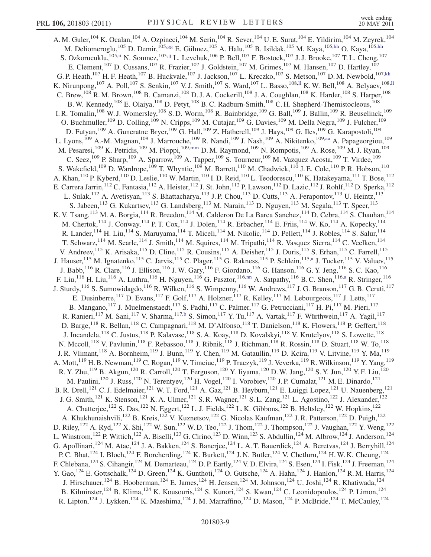<span id="page-8-5"></span><span id="page-8-4"></span><span id="page-8-3"></span><span id="page-8-2"></span><span id="page-8-1"></span><span id="page-8-0"></span>A. M. Guler, <sup>104</sup> K. Ocalan, <sup>104</sup> A. Ozpineci, <sup>104</sup> M. Serin, <sup>104</sup> R. Sever, <sup>104</sup> U. E. Surat, <sup>104</sup> E. Yildirim, <sup>104</sup> M. Zeyrek, <sup>104</sup> M. Deliomeroglu,<sup>105</sup> D. Demir,<sup>105,[gg](#page-14-8)</sup> E. Gülmez,<sup>105</sup> A. Halu,<sup>105</sup> B. Isildak,<sup>105</sup> M. Kaya,<sup>105[,hh](#page-14-9)</sup> O. Kaya,<sup>105,[hh](#page-14-9)</sup> S. Ozkorucuklu,<sup>105[,ii](#page-14-10)</sup> N. Sonmez,<sup>105,[jj](#page-14-11)</sup> L. Levchuk,<sup>106</sup> P. Bell,<sup>107</sup> F. Bostock,<sup>107</sup> J. J. Brooke,<sup>107</sup> T. L. Cheng,<sup>107</sup> E. Clement,<sup>107</sup> D. Cussans,<sup>107</sup> R. Frazier,<sup>107</sup> J. Goldstein,<sup>107</sup> M. Grimes,<sup>107</sup> M. Hansen,<sup>107</sup> D. Hartley,<sup>107</sup> G. P. Heath,<sup>107</sup> H. F. Heath,<sup>107</sup> B. Huckvale,<sup>107</sup> J. Jackson,<sup>107</sup> L. Kreczko,<sup>107</sup> S. Metson,<sup>107</sup> D. M. Newbold,<sup>107[,kk](#page-14-12)</sup> K. Nirunpong,  $^{107}$  A. Po[ll](#page-14-13),  $^{107}$  S. Senkin,  $^{107}$  V. J. Smith,  $^{107}$  S. Ward,  $^{107}$  L. Basso,  $^{108,11}$  K. W. Bell,  $^{108}$  A. Belyaev,  $^{108,11}$ C. Brew,<sup>108</sup> R. M. Brown,<sup>108</sup> B. Camanzi,<sup>108</sup> D. J. A. Cockerill,<sup>108</sup> J. A. Coughlan,<sup>108</sup> K. Harder,<sup>108</sup> S. Harper,<sup>108</sup> B. W. Kennedy, <sup>108</sup> E. Olaiya, <sup>108</sup> D. Petyt, <sup>108</sup> B. C. Radburn-Smith, <sup>108</sup> C. H. Shepherd-Themistocleous, <sup>108</sup> I. R. Tomalin,<sup>108</sup> W. J. Womersley,<sup>108</sup> S. D. Worm,<sup>108</sup> R. Bainbridge,<sup>109</sup> G. Ball,<sup>109</sup> J. Ballin,<sup>109</sup> R. Beuselinck,<sup>109</sup> O. Buchmuller,<sup>109</sup> D. Colling,<sup>109</sup> N. Cripps,<sup>109</sup> M. Cutajar,<sup>109</sup> G. Davies,<sup>109</sup> M. Della Negra,<sup>109</sup> J. Fulcher,<sup>109</sup> D. Futyan,<sup>109</sup> A. Guneratne Bryer,<sup>109</sup> G. Hall,<sup>109</sup> Z. Hatherell,<sup>109</sup> J. Hays,<sup>109</sup> G. Iles,<sup>109</sup> G. Karapostoli,<sup>109</sup> L. Lyons,<sup>109</sup> A.-M. Magnan,<sup>109</sup> J. Marrouche,<sup>109</sup> R. Nandi,<sup>109</sup> J. Nash,<sup>109</sup> A. Nikitenko,<sup>109[,aa](#page-14-2)</sup> A. Papageorgiou,<sup>109</sup> M. Pesaresi,<sup>109</sup> K. Petridis,<sup>109</sup> M. Pioppi,<sup>109[,mm](#page-14-14)</sup> D. M. Raymond,<sup>109</sup> N. Rompotis,<sup>109</sup> A. Rose,<sup>109</sup> M. J. Ryan,<sup>109</sup> C. Seez,<sup>109</sup> P. Sharp,<sup>109</sup> A. Sparrow,<sup>109</sup> A. Tapper,<sup>109</sup> S. Tourneur,<sup>109</sup> M. Vazquez Acosta,<sup>109</sup> T. Virdee,<sup>109</sup> S. Wakefield,<sup>109</sup> D. Wardrope,<sup>109</sup> T. Whyntie,<sup>109</sup> M. Barrett,<sup>110</sup> M. Chadwick,<sup>110</sup> J. E. Cole,<sup>110</sup> P. R. Hobson,<sup>110</sup> A. Khan,<sup>110</sup> P. Kyberd,<sup>110</sup> D. Leslie,<sup>110</sup> W. Martin,<sup>110</sup> I. D. Reid,<sup>110</sup> L. Teodorescu,<sup>110</sup> K. Hatakeyama,<sup>111</sup> T. Bose,<sup>112</sup> E. Carrera Jarrin,<sup>112</sup> C. Fantasia,<sup>112</sup> A. Heister,<sup>112</sup> J. St. John,<sup>112</sup> P. Lawson,<sup>112</sup> D. Lazic,<sup>112</sup> J. Rohlf,<sup>112</sup> D. Sperka,<sup>112</sup> L. Sulak,<sup>112</sup> A. Avetisyan,<sup>113</sup> S. Bhattacharya,<sup>113</sup> J. P. Chou,<sup>113</sup> D. Cutts,<sup>113</sup> A. Ferapontov,<sup>113</sup> U. Heintz,<sup>113</sup> S. Jabeen,<sup>113</sup> G. Kukartsev,<sup>113</sup> G. Landsberg,<sup>113</sup> M. Narain,<sup>113</sup> D. Nguyen,<sup>113</sup> M. Segala,<sup>113</sup> T. Speer,<sup>113</sup> K. V. Tsang,<sup>113</sup> M. A. Borgia,<sup>114</sup> R. Breedon,<sup>114</sup> M. Calderon De La Barca Sanchez,<sup>114</sup> D. Cebra,<sup>114</sup> S. Chauhan,<sup>114</sup> M. Chertok, <sup>114</sup> J. Conway, <sup>114</sup> P. T. Cox, <sup>114</sup> J. Dolen, <sup>114</sup> R. Erbacher, <sup>114</sup> E. Friis, <sup>114</sup> W. Ko, <sup>114</sup> A. Kopecky, <sup>114</sup> R. Lander, <sup>114</sup> H. Liu, <sup>114</sup> S. Maruyama, <sup>114</sup> T. Miceli, <sup>114</sup> M. Nikolic, <sup>114</sup> D. Pellett, <sup>114</sup> J. Robles, <sup>114</sup> S. Salur, <sup>114</sup> T. Schwarz, <sup>114</sup> M. Searle, <sup>114</sup> J. Smith, <sup>114</sup> M. Squires, <sup>114</sup> M. Tripathi, <sup>114</sup> R. Vasquez Sierra, <sup>114</sup> C. Veelken, <sup>114</sup> V. Andreev, <sup>115</sup> K. Arisaka, <sup>115</sup> D. Cline, <sup>115</sup> R. Cousins, <sup>115</sup> A. Deisher, <sup>115</sup> J. Duris, <sup>115</sup> S. Erhan, <sup>115</sup> C. Farrell, <sup>115</sup> J. H[a](#page-13-8)user,<sup>115</sup> M. Ignatenko,<sup>115</sup> C. Jarvis,<sup>115</sup> C. Plager,<sup>115</sup> G. Rakness,<sup>115</sup> P. Schlein,<sup>115,a</sup> J. Tucker,<sup>115</sup> V. Valuev,<sup>115</sup> J. Babb,<sup>116</sup> R. Clare,<sup>116</sup> J. Ellison,<sup>116</sup> J. W. Gary,<sup>116</sup> F. Giordano,<sup>116</sup> G. Hanson,<sup>116</sup> G. Y. Jeng,<sup>116</sup> S. C. Kao,<sup>116</sup> F. Liu,<sup>116</sup> H. Liu,<sup>116</sup> A. Luthra,<sup>116</sup> H. Nguyen,<sup>116</sup> G. Pasztor,<sup>116[,nn](#page-14-15)</sup> A. S[a](#page-13-8)tpathy,<sup>116</sup> B. C. Shen,<sup>116,a</sup> R. Stringer,<sup>116</sup> J. Sturdy, <sup>116</sup> S. Sumowidagdo, <sup>116</sup> R. Wilken, <sup>116</sup> S. Wimpenny, <sup>116</sup> W. Andrews, <sup>117</sup> J. G. Branson, <sup>117</sup> G. B. Cerati, <sup>117</sup> E. Dusinberre,<sup>117</sup> D. Evans,<sup>117</sup> F. Golf,<sup>117</sup> A. Holzner,<sup>117</sup> R. Kelley,<sup>117</sup> M. Lebourgeois,<sup>117</sup> J. Letts,<sup>117</sup> B. Mangano,<sup>117</sup> J. Muelmenstaedt,<sup>117</sup> S. Padhi,<sup>117</sup> C. Palmer,<sup>117</sup> G. Petrucciani,<sup>117</sup> H. Pi,<sup>117</sup> M. Pieri,<sup>117</sup> R. Ranieri,<sup>117</sup> M. Sani,<sup>117</sup> V. Sharma,<sup>117,[b](#page-13-0)</sup> S. Simon,<sup>117</sup> Y. Tu,<sup>117</sup> A. Vartak,<sup>117</sup> F. Würthwein,<sup>117</sup> A. Yagil,<sup>117</sup> D. Barge,<sup>118</sup> R. Bellan,<sup>118</sup> C. Campagnari,<sup>118</sup> M. D'Alfonso,<sup>118</sup> T. Danielson,<sup>118</sup> K. Flowers,<sup>118</sup> P. Geffert,<sup>118</sup> J. Incandela,<sup>118</sup> C. Justus,<sup>118</sup> P. Kalavase,<sup>118</sup> S. A. Koay,<sup>118</sup> D. Kovalskyi,<sup>118</sup> V. Krutelyov,<sup>118</sup> S. Lowette,<sup>118</sup> N. Mccoll,<sup>118</sup> V. Pavlunin,<sup>118</sup> F. Rebassoo,<sup>118</sup> J. Ribnik,<sup>118</sup> J. Richman,<sup>118</sup> R. Rossin,<sup>118</sup> D. Stuart,<sup>118</sup> W. To,<sup>118</sup> J. R. Vlimant, <sup>118</sup> A. Bornheim, <sup>119</sup> J. Bunn, <sup>119</sup> Y. Chen, <sup>119</sup> M. Gataullin, <sup>119</sup> D. Kcira, <sup>119</sup> V. Litvine, <sup>119</sup> Y. Ma, <sup>119</sup> A. Mott,<sup>119</sup> H. B. Newman,<sup>119</sup> C. Rogan,<sup>119</sup> V. Timciuc,<sup>119</sup> P. Traczyk,<sup>119</sup> J. Veverka,<sup>119</sup> R. Wilkinson,<sup>119</sup> Y. Yang,<sup>119</sup> R. Y. Zhu,<sup>119</sup> B. Akgun,<sup>120</sup> R. Carroll,<sup>120</sup> T. Ferguson,<sup>120</sup> Y. Iiyama,<sup>120</sup> D. W. Jang,<sup>120</sup> S. Y. Jun,<sup>120</sup> Y. F. Liu,<sup>120</sup> M. Paulini,<sup>120</sup> J. Russ,<sup>120</sup> N. Terentyev,<sup>120</sup> H. Vogel,<sup>120</sup> I. Vorobiev,<sup>120</sup> J. P. Cumalat,<sup>121</sup> M. E. Dinardo,<sup>121</sup> B. R. Drell,<sup>121</sup> C. J. Edelmaier,<sup>121</sup> W. T. Ford,<sup>121</sup> A. Gaz,<sup>121</sup> B. Heyburn,<sup>121</sup> E. Luiggi Lopez,<sup>121</sup> U. Nauenberg,<sup>121</sup> J. G. Smith,<sup>121</sup> K. Stenson,<sup>121</sup> K. A. Ulmer,<sup>121</sup> S. R. Wagner,<sup>121</sup> S. L. Zang,<sup>121</sup> L. Agostino,<sup>122</sup> J. Alexander,<sup>122</sup> A. Chatterjee,<sup>122</sup> S. Das,<sup>122</sup> N. Eggert,<sup>122</sup> L. J. Fields,<sup>122</sup> L. K. Gibbons,<sup>122</sup> B. Heltsley,<sup>122</sup> W. Hopkins,<sup>122</sup> A. Khukhunaishvili,<sup>122</sup> B. Kreis,<sup>122</sup> V. Kuznetsov,<sup>122</sup> G. Nicolas Kaufman,<sup>122</sup> J. R. Patterson,<sup>122</sup> D. Puigh,<sup>122</sup> D. Riley,<sup>122</sup> A. Ryd,<sup>122</sup> X. Shi,<sup>122</sup> W. Sun,<sup>122</sup> W. D. Teo,<sup>122</sup> J. Thom,<sup>122</sup> J. Thompson,<sup>122</sup> J. Vaughan,<sup>122</sup> Y. Weng,<sup>122</sup> L. Winstrom,<sup>122</sup> P. Wittich,<sup>122</sup> A. Biselli,<sup>123</sup> G. Cirino,<sup>123</sup> D. Winn,<sup>123</sup> S. Abdullin,<sup>124</sup> M. Albrow,<sup>124</sup> J. Anderson,<sup>124</sup> G. Apollinari,<sup>124</sup> M. Atac,<sup>124</sup> J. A. Bakken,<sup>124</sup> S. Banerjee,<sup>124</sup> L. A. T. Bauerdick,<sup>124</sup> A. Beretvas,<sup>124</sup> J. Berryhill,<sup>124</sup> P. C. Bhat,<sup>124</sup> I. Bloch,<sup>124</sup> F. Borcherding,<sup>124</sup> K. Burkett,<sup>124</sup> J. N. Butler,<sup>124</sup> V. Chetluru,<sup>124</sup> H. W. K. Cheung,<sup>124</sup> F. Chlebana, <sup>124</sup> S. Cihangir, <sup>124</sup> M. Demarteau, <sup>124</sup> D. P. Eartly, <sup>124</sup> V. D. Elvira, <sup>124</sup> S. Esen, <sup>124</sup> I. Fisk, <sup>124</sup> J. Freeman, <sup>124</sup> Y. Gao, <sup>124</sup> E. Gottschalk,<sup>124</sup> D. Green,<sup>124</sup> K. Gunthoti,<sup>124</sup> O. Gutsche,<sup>124</sup> A. Hahn,<sup>124</sup> J. Hanlon,<sup>124</sup> R. M. Harris,<sup>124</sup> J. Hirschauer,<sup>124</sup> B. Hooberman,<sup>124</sup> E. James,<sup>124</sup> H. Jensen,<sup>124</sup> M. Johnson,<sup>124</sup> U. Joshi,<sup>124</sup> R. Khatiwada,<sup>124</sup> B. Kilminster,<sup>124</sup> B. Klima,<sup>124</sup> K. Kousouris,<sup>124</sup> S. Kunori,<sup>124</sup> S. Kwan,<sup>124</sup> C. Leonidopoulos,<sup>124</sup> P. Limon,<sup>124</sup> R. Lipton,<sup>124</sup> J. Lykken,<sup>124</sup> K. Maeshima,<sup>124</sup> J. M. Marraffino,<sup>124</sup> D. Mason,<sup>124</sup> P. McBride,<sup>124</sup> T. McCauley,<sup>124</sup>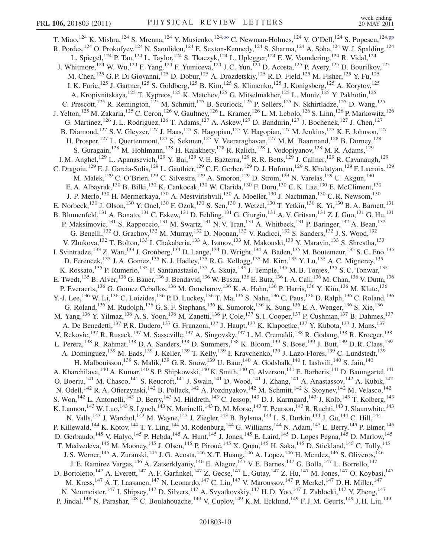<span id="page-9-0"></span>T. Miao, <sup>124</sup> K. Mishra, <sup>124</sup> S. Mrenna, <sup>124</sup> Y. Musienko, <sup>124,00</sup> C. Newman-Holmes, <sup>124</sup> V. O'Dell, <sup>124</sup> S. Popescu, <sup>124[,pp](#page-14-17)</sup> R. Pordes,<sup>124</sup> O. Prokofyev,<sup>124</sup> N. Saoulidou,<sup>124</sup> E. Sexton-Kennedy,<sup>124</sup> S. Sharma,<sup>124</sup> A. Soha,<sup>124</sup> W. J. Spalding,<sup>124</sup> L. Spiegel,<sup>124</sup> P. Tan,<sup>124</sup> L. Taylor,<sup>124</sup> S. Tkaczyk,<sup>124</sup> L. Uplegger,<sup>124</sup> E. W. Vaandering,<sup>124</sup> R. Vidal,<sup>124</sup> J. Whitmore,<sup>124</sup> W. Wu,<sup>124</sup> F. Yang,<sup>124</sup> F. Yumiceva,<sup>124</sup> J.C. Yun,<sup>124</sup> D. Acosta,<sup>125</sup> P. Avery,<sup>125</sup> D. Bourilkov,<sup>125</sup> M. Chen,<sup>125</sup> G. P. Di Giovanni,<sup>125</sup> D. Dobur,<sup>125</sup> A. Drozdetskiy,<sup>125</sup> R. D. Field,<sup>125</sup> M. Fisher,<sup>125</sup> Y. Fu,<sup>125</sup> I. K. Furic,<sup>125</sup> J. Gartner,<sup>125</sup> S. Goldberg,<sup>125</sup> B. Kim,<sup>125</sup> S. Klimenko,<sup>125</sup> J. Konigsberg,<sup>125</sup> A. Korytov,<sup>125</sup> A. Kropivnitskaya,<sup>125</sup> T. Kypreos,<sup>125</sup> K. Matchev,<sup>125</sup> G. Mitselmakher,<sup>125</sup> L. Muniz,<sup>125</sup> Y. Pakhotin,<sup>125</sup> C. Prescott,<sup>125</sup> R. Remington,<sup>125</sup> M. Schmitt,<sup>125</sup> B. Scurlock,<sup>125</sup> P. Sellers,<sup>125</sup> N. Skhirtladze,<sup>125</sup> D. Wang,<sup>125</sup> J. Yelton,<sup>125</sup> M. Zakaria,<sup>125</sup> C. Ceron,<sup>126</sup> V. Gaultney,<sup>126</sup> L. Kramer,<sup>126</sup> L. M. Lebolo,<sup>126</sup> S. Linn,<sup>126</sup> P. Markowitz,<sup>126</sup> G. Martinez,<sup>126</sup> J. L. Rodriguez,<sup>126</sup> T. Adams,<sup>127</sup> A. Askew,<sup>127</sup> D. Bandurin,<sup>127</sup> J. Bochenek,<sup>127</sup> J. Chen,<sup>127</sup> B. Diamond,<sup>127</sup> S. V. Gleyzer,<sup>127</sup> J. Haas,<sup>127</sup> S. Hagopian,<sup>127</sup> V. Hagopian,<sup>127</sup> M. Jenkins,<sup>127</sup> K. F. Johnson,<sup>127</sup> H. Prosper,<sup>127</sup> L. Quertenmont,<sup>127</sup> S. Sekmen,<sup>127</sup> V. Veeraraghavan,<sup>127</sup> M. M. Baarmand,<sup>128</sup> B. Dorney,<sup>128</sup> S. Guragain,<sup>128</sup> M. Hohlmann,<sup>128</sup> H. Kalakhety,<sup>128</sup> R. Ralich,<sup>128</sup> I. Vodopiyanov,<sup>128</sup> M. R. Adams,<sup>129</sup> I. M. Anghel,<sup>129</sup> L. Apanasevich,<sup>129</sup> Y. Bai,<sup>129</sup> V. E. Bazterra,<sup>129</sup> R. R. Betts,<sup>129</sup> J. Callner,<sup>129</sup> R. Cavanaugh,<sup>129</sup> C. Dragoiu,<sup>129</sup> E. J. Garcia-Solis,<sup>129</sup> L. Gauthier,<sup>129</sup> C. E. Gerber,<sup>129</sup> D. J. Hofman,<sup>129</sup> S. Khalatyan,<sup>129</sup> F. Lacroix,<sup>129</sup> M. Malek,<sup>129</sup> C. O'Brien,<sup>129</sup> C. Silvestre,<sup>129</sup> A. Smoron,<sup>129</sup> D. Strom,<sup>129</sup> N. Varelas,<sup>129</sup> U. Akgun,<sup>130</sup> U. E. A. Albayrak,<sup>130</sup> B. Bilki,<sup>130</sup> K. Cankocak,<sup>130</sup> W. Clarida,<sup>130</sup> F. Duru,<sup>130</sup> C. K. Lae,<sup>130</sup> E. McCliment,<sup>130</sup> J.-P. Merlo,<sup>130</sup> H. Mermerkaya,<sup>130</sup> A. Mestvirishvili,<sup>130</sup> A. Moeller,<sup>130</sup> J. Nachtman,<sup>130</sup> C. R. Newsom,<sup>130</sup> E. Norbeck,<sup>130</sup> J. Olson,<sup>130</sup> Y. Onel,<sup>130</sup> F. Ozok,<sup>130</sup> S. Sen,<sup>130</sup> J. Wetzel,<sup>130</sup> T. Yetkin,<sup>130</sup> K. Yi,<sup>130</sup> B. A. Barnett,<sup>131</sup> B. Blumenfeld,<sup>131</sup> A. Bonato,<sup>131</sup> C. Eskew,<sup>131</sup> D. Fehling,<sup>131</sup> G. Giurgiu,<sup>131</sup> A. V. Gritsan,<sup>131</sup> Z. J. Guo,<sup>131</sup> G. Hu,<sup>131</sup> P. Maksimovic,<sup>131</sup> S. Rappoccio,<sup>131</sup> M. Swartz,<sup>131</sup> N. V. Tran,<sup>131</sup> A. Whitbeck,<sup>131</sup> P. Baringer,<sup>132</sup> A. Bean,<sup>132</sup> G. Benelli,<sup>132</sup> O. Grachov,<sup>132</sup> M. Murray,<sup>132</sup> D. Noonan,<sup>132</sup> V. Radicci,<sup>132</sup> S. Sanders,<sup>132</sup> J. S. Wood,<sup>132</sup> V. Zhukova, <sup>132</sup> T. Bolton, <sup>133</sup> I. Chakaberia, <sup>133</sup> A. Ivanov, <sup>133</sup> M. Makouski, <sup>133</sup> Y. Maravin, <sup>133</sup> S. Shrestha, <sup>133</sup> I. Svintradze,<sup>133</sup> Z. Wan,<sup>133</sup> J. Gronberg,<sup>134</sup> D. Lange,<sup>134</sup> D. Wright,<sup>134</sup> A. Baden,<sup>135</sup> M. Boutemeur,<sup>135</sup> S. C. Eno,<sup>135</sup> D. Ferencek,<sup>135</sup> J. A. Gomez,<sup>135</sup> N. J. Hadley,<sup>135</sup> R. G. Kellogg,<sup>135</sup> M. Kirn,<sup>135</sup> Y. Lu,<sup>135</sup> A. C. Mignerey,<sup>135</sup> K. Rossato,<sup>135</sup> P. Rumerio,<sup>135</sup> F. Santanastasio,<sup>135</sup> A. Skuja,<sup>135</sup> J. Temple,<sup>135</sup> M. B. Tonjes,<sup>135</sup> S. C. Tonwar,<sup>135</sup> E. Twedt,<sup>135</sup> B. Alver,<sup>136</sup> G. Bauer,<sup>136</sup> J. Bendavid,<sup>136</sup> W. Busza,<sup>136</sup> E. Butz,<sup>136</sup> I. A. Cali,<sup>136</sup> M. Chan,<sup>136</sup> V. Dutta,<sup>136</sup> P. Everaerts,<sup>136</sup> G. Gomez Ceballos,<sup>136</sup> M. Goncharov,<sup>136</sup> K. A. Hahn,<sup>136</sup> P. Harris,<sup>136</sup> Y. Kim,<sup>136</sup> M. Klute,<sup>136</sup> Y.-J. Lee,<sup>136</sup> W. Li,<sup>136</sup> C. Loizides,<sup>136</sup> P.D. Luckey,<sup>136</sup> T. Ma,<sup>136</sup> S. Nahn,<sup>136</sup> C. Paus,<sup>136</sup> D. Ralph,<sup>136</sup> C. Roland,<sup>136</sup> G. Roland,<sup>136</sup> M. Rudolph,<sup>136</sup> G. S. F. Stephans,<sup>136</sup> K. Sumorok,<sup>136</sup> K. Sung,<sup>136</sup> E. A. Wenger,<sup>136</sup> S. Xie,<sup>136</sup> M. Yang,<sup>136</sup> Y. Yilmaz,<sup>136</sup> A. S. Yoon,<sup>136</sup> M. Zanetti,<sup>136</sup> P. Cole,<sup>137</sup> S. I. Cooper,<sup>137</sup> P. Cushman,<sup>137</sup> B. Dahmes,<sup>137</sup> A. De Benedetti, <sup>137</sup> P. R. Dudero, <sup>137</sup> G. Franzoni, <sup>137</sup> J. Haupt, <sup>137</sup> K. Klapoetke, <sup>137</sup> Y. Kubota, <sup>137</sup> J. Mans, <sup>137</sup> V. Rekovic,<sup>137</sup> R. Rusack,<sup>137</sup> M. Sasseville,<sup>137</sup> A. Singovsky,<sup>137</sup> L. M. Cremaldi,<sup>138</sup> R. Godang,<sup>138</sup> R. Kroeger,<sup>138</sup> L. Perera, <sup>138</sup> R. Rahmat, <sup>138</sup> D. A. Sanders, <sup>138</sup> D. Summers, <sup>138</sup> K. Bloom, <sup>139</sup> S. Bose, <sup>139</sup> J. Butt, <sup>139</sup> D. R. Claes, <sup>139</sup> A. Dominguez,<sup>139</sup> M. Eads,<sup>139</sup> J. Keller,<sup>139</sup> T. Kelly,<sup>139</sup> I. Kravchenko,<sup>139</sup> J. Lazo-Flores,<sup>139</sup> C. Lundstedt,<sup>139</sup> H. Malbouisson,  $^{139}$  S. Malik,  $^{139}$  G. R. Snow,  $^{139}$  U. Baur,  $^{140}$  A. Godshalk,  $^{140}$  I. Iashvili,  $^{140}$  S. Jain,  $^{140}$ A. Kharchilava,<sup>140</sup> A. Kumar,<sup>140</sup> S. P. Shipkowski,<sup>140</sup> K. Smith,<sup>140</sup> G. Alverson,<sup>141</sup> E. Barberis,<sup>141</sup> D. Baumgartel,<sup>141</sup> O. Boeriu,<sup>141</sup> M. Chasco,<sup>141</sup> S. Reucroft,<sup>141</sup> J. Swain,<sup>141</sup> D. Wood,<sup>141</sup> J. Zhang,<sup>141</sup> A. Anastassov,<sup>142</sup> A. Kubik,<sup>142</sup> N. Odell,<sup>142</sup> R. A. Ofierzynski,<sup>142</sup> B. Pollack,<sup>142</sup> A. Pozdnyakov,<sup>142</sup> M. Schmitt,<sup>142</sup> S. Stoynev,<sup>142</sup> M. Velasco,<sup>142</sup> S. Won,<sup>142</sup> L. Antonelli,<sup>143</sup> D. Berry,<sup>143</sup> M. Hildreth,<sup>143</sup> C. Jessop,<sup>143</sup> D. J. Karmgard,<sup>143</sup> J. Kolb,<sup>143</sup> T. Kolberg,<sup>143</sup> K. Lannon,  $^{143}$  W. Luo,  $^{143}$  S. Lynch,  $^{143}$  N. Marinelli,  $^{143}$  D. M. Morse,  $^{143}$  T. Pearson,  $^{143}$  R. Ruchti,  $^{143}$  J. Slaunwhite,  $^{143}$ N. Valls,<sup>143</sup> J. Warchol,<sup>143</sup> M. Wayne,<sup>143</sup> J. Ziegler,<sup>143</sup> B. Bylsma,<sup>144</sup> L. S. Durkin,<sup>144</sup> J. Gu,<sup>144</sup> C. Hill,<sup>144</sup> P. Killewald,<sup>144</sup> K. Kotov,<sup>144</sup> T. Y. Ling,<sup>144</sup> M. Rodenburg,<sup>144</sup> G. Williams,<sup>144</sup> N. Adam,<sup>145</sup> E. Berry,<sup>145</sup> P. Elmer,<sup>145</sup> D. Gerbaudo,<sup>145</sup> V. Halyo,<sup>145</sup> P. Hebda,<sup>145</sup> A. Hunt,<sup>145</sup> J. Jones,<sup>145</sup> E. Laird,<sup>145</sup> D. Lopes Pegna,<sup>145</sup> D. Marlow,<sup>145</sup> T. Medvedeva,  $^{145}$  M. Mooney,  $^{145}$  J. Olsen,  $^{145}$  P. Piroué,  $^{145}$  X. Quan,  $^{145}$  H. Saka,  $^{145}$  D. Stickland,  $^{145}$  C. Tully,  $^{145}$ J. S. Werner,<sup>145</sup> A. Zuranski,<sup>145</sup> J. G. Acosta,<sup>146</sup> X. T. Huang,<sup>146</sup> A. Lopez,<sup>146</sup> H. Mendez,<sup>146</sup> S. Oliveros,<sup>146</sup> J. E. Ramirez Vargas,<sup>146</sup> A. Zatserklyaniy,<sup>146</sup> E. Alagoz,<sup>147</sup> V. E. Barnes,<sup>147</sup> G. Bolla,<sup>147</sup> L. Borrello,<sup>147</sup> D. Bortoletto,<sup>147</sup> A. Everett,<sup>147</sup> A. F. Garfinkel,<sup>147</sup> Z. Gecse,<sup>147</sup> L. Gutay,<sup>147</sup> Z. Hu,<sup>147</sup> M. Jones,<sup>147</sup> O. Koybasi,<sup>147</sup> M. Kress,<sup>147</sup> A. T. Laasanen,<sup>147</sup> N. Leonardo,<sup>147</sup> C. Liu,<sup>147</sup> V. Maroussov,<sup>147</sup> P. Merkel,<sup>147</sup> D. H. Miller,<sup>147</sup> N. Neumeister,<sup>147</sup> I. Shipsey,<sup>147</sup> D. Silvers,<sup>147</sup> A. Svyatkovskiy,<sup>147</sup> H.D. Yoo,<sup>147</sup> J. Zablocki,<sup>147</sup> Y. Zheng,<sup>147</sup> P. Jindal,<sup>148</sup> N. Parashar,<sup>148</sup> C. Boulahouache,<sup>149</sup> V. Cuplov,<sup>149</sup> K. M. Ecklund,<sup>149</sup> F. J. M. Geurts,<sup>149</sup> J. H. Liu,<sup>149</sup>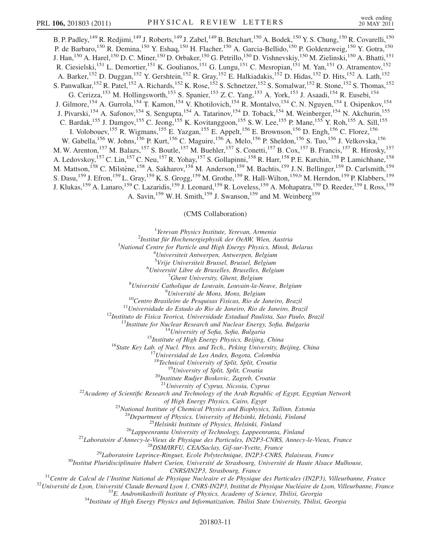B. P. Padley, <sup>149</sup> R. Redjimi, <sup>149</sup> J. Roberts, <sup>149</sup> J. Zabel, <sup>149</sup> B. Betchart, <sup>150</sup> A. Bodek, <sup>150</sup> Y. S. Chung, <sup>150</sup> R. Covarelli, <sup>150</sup> P. de Barbaro,<sup>150</sup> R. Demina,<sup>150</sup> Y. Eshaq,<sup>150</sup> H. Flacher,<sup>150</sup> A. Garcia-Bellido,<sup>150</sup> P. Goldenzweig,<sup>150</sup> Y. Gotra,<sup>150</sup> J. Han,<sup>150</sup> A. Harel,<sup>150</sup> D. C. Miner,<sup>150</sup> D. Orbaker,<sup>150</sup> G. Petrillo,<sup>150</sup> D. Vishnevskiy,<sup>150</sup> M. Zielinski,<sup>150</sup> A. Bhatti,<sup>151</sup> R. Ciesielski,<sup>151</sup> L. Demortier,<sup>151</sup> K. Goulianos,<sup>151</sup> G. Lungu,<sup>151</sup> C. Mesropian,<sup>151</sup> M. Yan,<sup>151</sup> O. Atramentov,<sup>152</sup> A. Barker,<sup>152</sup> D. Duggan,<sup>152</sup> Y. Gershtein,<sup>152</sup> R. Gray,<sup>152</sup> E. Halkiadakis,<sup>152</sup> D. Hidas,<sup>152</sup> D. Hits,<sup>152</sup> A. Lath,<sup>152</sup> S. Panwalkar, <sup>152</sup> R. Patel, <sup>152</sup> A. Richards, <sup>152</sup> K. Rose, <sup>152</sup> S. Schnetzer, <sup>152</sup> S. Somalwar, <sup>152</sup> R. Stone, <sup>152</sup> S. Thomas, <sup>152</sup> G. Cerizza,<sup>153</sup> M. Hollingsworth,<sup>153</sup> S. Spanier,<sup>153</sup> Z. C. Yang,<sup>153</sup> A. York,<sup>153</sup> J. Asaadi,<sup>154</sup> R. Eusebi,<sup>154</sup> J. Gilmore,<sup>154</sup> A. Gurrola,<sup>154</sup> T. Kamon,<sup>154</sup> V. Khotilovich,<sup>154</sup> R. Montalvo,<sup>154</sup> C. N. Nguyen,<sup>154</sup> I. Osipenkov,<sup>154</sup> J. Pivarski,<sup>154</sup> A. Safonov,<sup>154</sup> S. Sengupta,<sup>154</sup> A. Tatarinov,<sup>154</sup> D. Toback,<sup>154</sup> M. Weinberger,<sup>154</sup> N. Akchurin,<sup>155</sup> C. Bardak,<sup>155</sup> J. Damgov,<sup>155</sup> C. Jeong,<sup>155</sup> K. Kovitanggoon,<sup>155</sup> S. W. Lee,<sup>155</sup> P. Mane,<sup>155</sup> Y. Roh,<sup>155</sup> A. Sill,<sup>155</sup> I. Volobouev,<sup>155</sup> R. Wigmans,<sup>155</sup> E. Yazgan,<sup>155</sup> E. Appelt,<sup>156</sup> E. Brownson,<sup>156</sup> D. Engh,<sup>156</sup> C. Florez,<sup>156</sup> W. Gabella, <sup>156</sup> W. Johns, <sup>156</sup> P. Kurt, <sup>156</sup> C. Maguire, <sup>156</sup> A. Melo, <sup>156</sup> P. Sheldon, <sup>156</sup> S. Tuo, <sup>156</sup> J. Velkovska, <sup>156</sup> M. W. Arenton,<sup>157</sup> M. Balazs,<sup>157</sup> S. Boutle,<sup>157</sup> M. Buehler,<sup>157</sup> S. Conetti,<sup>157</sup> B. Cox,<sup>157</sup> B. Francis,<sup>157</sup> R. Hirosky,<sup>157</sup> A. Ledovskoy, <sup>157</sup> C. Lin, <sup>157</sup> C. Neu, <sup>157</sup> R. Yohay, <sup>157</sup> S. Gollapinni, <sup>158</sup> R. Harr, <sup>158</sup> P. E. Karchin, <sup>158</sup> P. Lamichhane, <sup>158</sup> M. Mattson,<sup>158</sup> C. Milstène,<sup>158</sup> A. Sakharov,<sup>158</sup> M. Anderson,<sup>159</sup> M. Bachtis,<sup>159</sup> J. N. Bellinger,<sup>159</sup> D. Carlsmith,<sup>159</sup> S. Dasu,<sup>159</sup> J. Efron,<sup>159</sup> L. Gray,<sup>159</sup> K. S. Grogg,<sup>159</sup> M. Grothe,<sup>159</sup> R. Hall-Wilton,<sup>159[,b](#page-13-0)</sup> M. Herndon,<sup>159</sup> P. Klabbers,<sup>159</sup> J. Klukas, <sup>159</sup> A. Lanaro, <sup>159</sup> C. Lazaridis, <sup>159</sup> J. Leonard, <sup>159</sup> R. Loveless, <sup>159</sup> A. Mohapatra, <sup>159</sup> D. Reeder, <sup>159</sup> I. Ross, <sup>159</sup> A. Savin,<sup>159</sup> W. H. Smith,<sup>159</sup> J. Swanson,<sup>159</sup> and M. Weinberg<sup>159</sup>

## (CMS Collaboration)

<sup>1</sup>Yerevan Physics Institute, Yerevan, Armenia<sup>2</sup>Institut für Hockeneraignbysik der OgAW Wien

 $2$ Institut für Hochenergiephysik der OeAW, Wien, Austria

 $3$ National Centre for Particle and High Energy Physics, Minsk, Belarus

Universiteit Antwerpen, Antwerpen, Belgium

<sup>5</sup>Vrije Universiteit Brussel, Brussel, Belgium<br><sup>6</sup>Université Libre de Bruxelles, Bruxelles, Belgi

<sup>6</sup>Université Libre de Bruxelles, Bruxelles, Belgium  $\frac{7}{7}$ Ghent University, Ghent, Belgium

<sup>'</sup>Ghent University, Ghent, Belgium<br><sup>8</sup>Université Catholique de Louvain, Louvain-la-Neuve, Belgium

<sup>9</sup>Université de Mons, Mons, Belgium

<sup>10</sup>Centro Brasileiro de Pesquisas Fisicas, Rio de Janeiro, Brazil<br><sup>11</sup>Universidade do Estado do Rio de Janeiro, Rio de Janeiro, Brazil<br><sup>12</sup>Instituto de Fisica Teorica, Universidade Estadual Paulista, Sao Paulo, Brazil<br><sup>1</sup>

<sup>18</sup>Technical University of Split, Split, Croatia<br><sup>19</sup>University of Split, Split, Croatia<br><sup>20</sup>Institute Rudjer Boskovic, Zagreb, Croatia<br><sup>21</sup>University of Cyprus, Nicosia, Cyprus

<sup>22</sup>Academy of Scientific Research and Technology of the Arab Republic of Egypt, Egyptian Network

of High Energy Physics, Cairo, Egypt<br><sup>23</sup>National Institute of Chemical Physics and Biophysics, Tallinn, Estonia

<sup>24</sup>Department of Physics, University of Helsinki, Helsinki, Finland<br><sup>25</sup>Helsinki Institute of Physics, Helsinki, Finland<br><sup>26</sup>Lappeenranta University of Technology, Lappeenranta, Finland<br><sup>27</sup>Laboratoire d'Annecy-le-Vieux

 $CNRS/IN2P3$ , Strasbourg, France<br><sup>31</sup>Centre de Calcul de l'Institut National de Physique Nucleaire et de Physique des Particules (IN2P3), Villeurbanne, France<br><sup>32</sup>Université de Lyon, Université Claude Bernard Lyon 1, CNRS-I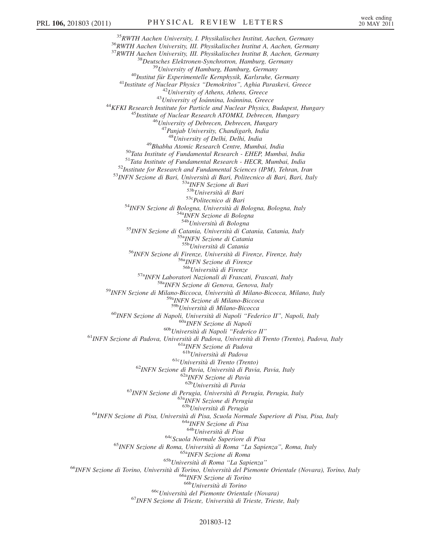$\begin{array}{c} \begin{smallmatrix} 35\text{RWTH} \text{ } Aachen \text{ } University, \text{ } I. \end{smallmatrix} \end{array}$  Physikalisches Institut, Aachen, Germany and RWTH Aachen University, III. Physikalisches Institut A, Aachen, Germany and RWTH Aachen University, III. Physikalisches In <sup>46</sup>University of Debrecen, Debrecen, Hungary<br><sup>47</sup>Panjab University, Chandigarh, India<br><sup>48</sup>University of Delhi, Delhi, India <sup>49</sup>Bhabha Atomic Research Centre, Mumbai, India<br><sup>50</sup>Tata Institute of Fundamental Research - EHEP, Mumbai, India<br><sup>51</sup>Tata Institute of Fundamental Research - HECR, Mumbai, India<br><sup>52</sup>Institute for Research and Fundamental <sup>53c</sup>Politecnico di Bari<br><sup>54</sup>INFN Sezione di Bologna, Bologna, Italy <sup>54a</sup>INFN Sezione di Bologna<br><sup>54b</sup>Università di Bologna <sup>55</sup>INFN Sezione di Catania, Università di Catania, Catania, Italy<br><sup>55a</sup>INFN Sezione di Catania<br><sup>55b</sup>Università di Catania <sup>56</sup>INFN Sezione di Firenze, Università di Firenze, Firenze, Italy<br><sup>56a</sup>INFN Sezione di Firenze<br><sup>56b</sup>Università di Firenze <sup>57a</sup>INFN Laboratori Nazionali di Frascati, Frascati, Italy<br><sup>58a</sup>INFN Sezione di Genova, Genova, Italy<br><sup>59</sup>INFN Sezione di Milano-Biccoca, Università di Milano-Bicocca, Milano, Italy<br><sup>59a</sup>INFN Sezione di Milano-Biccoca<br><sup>5</sup> <sup>60</sup>INFN Sezione di Napoli, Università di Napoli "Federico II", Napoli, Italy<br><sup>60a</sup>INFN Sezione di Napoli<br><sup>60b</sup>Università di Napoli "Federico II"<br><sup>61</sup>INFN Sezione di Padova, Università di Padova, Università di Trento (Tre <sup>61c</sup>Università di Trento (Trento)<br><sup>62</sup>INFN Sezione di Pavia, Università di Pavia, Pavia, Italy<br><sup>62b</sup>Università di Pavia<br><sup>62b</sup>Università di Pavia <sup>63</sup>INFN Sezione di Perugia, Università di Perugia, Perugia, Italy <sup>63a</sup>INFN Sezione di Perugia<br><sup>63b</sup>Università di Perugia <sup>64</sup>INFN Sezione di Pisa, Università di Pisa, Scuola Normale Superiore di Pisa, Pisa, Italy 64<sup>4</sup><br>64b<sub>Università</sub> di Pisa<br><sup>64b</sup>Università di Pisa <sup>64c</sup>Scuola Normale Superiore di Pisa<br><sup>65</sup>INFN Sezione di Roma, Università di Roma "La Sapienza", Roma, Italy<br><sup>65b</sup>Università di Roma "La Sapienza"<br><sup>65b</sup>Università di Roma "La Sapienza"<br><sup>65b</sup>Università di Torino, Universi  $^{66c}$ Università del Piemonte Orientale (Novara)<br><sup>67</sup>INFN Sezione di Trieste, Università di Trieste, Trieste, Italy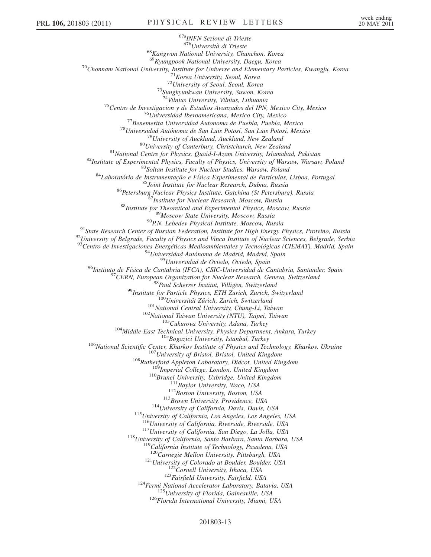$^{67a}$ INFN Sezione di Trieste<br> $^{67b}$ Università di Trieste  $^{68}$ Kangwon National University, Chunchon, Korea<br> $^{69}$ Kyungpook National University, Daegu, Korea <sup>70</sup>Chonnam National University, Institute for Universe and Elementary Particles, Kwangju, Korea<br><sup>71</sup>Korea University, Seoul, Korea<br><sup>72</sup>University of Seoul, Seoul, Korea<br><sup>73</sup>Sungkyunkwan University, Suwon, Korea<br><sup>74</sup>Vilni <sup>74</sup> Vilnius University, Vilnius, Lithuania<br>
<sup>74</sup> Vilnius University, Vilnius, Lithuania<br>
<sup>75</sup> Centro de Investidal deroamerican, Mexico City, Mexico<br>
<sup>76</sup> Universidal Autónoma de Puebla, Puebla, Mexico<br>
<sup>77</sup> Benemerita U  $\frac{1}{2}$ <br>  $\frac{1}{2}$ <br>  $\frac{1}{2}$  ( $\frac{1}{2}$  ( $\frac{1}{2}$  ( $\frac{1}{2}$  ( $\frac{1}{2}$  ( $\frac{1}{2}$  ( $\frac{1}{2}$  ( $\frac{1}{2}$  ( $\frac{1}{2}$  ( $\frac{1}{2}$  ( $\frac{1}{2}$  ( $\frac{1}{2}$  ( $\frac{1}{2}$  ( $\frac{1}{2}$  ( $\frac{1}{2}$  ( $\frac{1}{2}$  ( $\frac{1}{2}$  ( $\frac{1}{2}$  (<sup>115</sup>University of California, Los Angeles, Los Angeles, USA<br><sup>116</sup>University of California, Riverside, Riverside, USA<br><sup>117</sup>University of California, San Diego, La Jolla, USA<br><sup>118</sup>California Institute of Technology, Pasade <sup>121</sup>University of Colorado at Boulder, Boulder, USA<br><sup>122</sup>Cornell University, Ithaca, USA<br><sup>123</sup>Fairfield University, Fairfield, USA<br><sup>124</sup>Fermi National Accelerator Laboratory, Batavia, USA<br><sup>125</sup>University of Florida, Gain

## 201803-13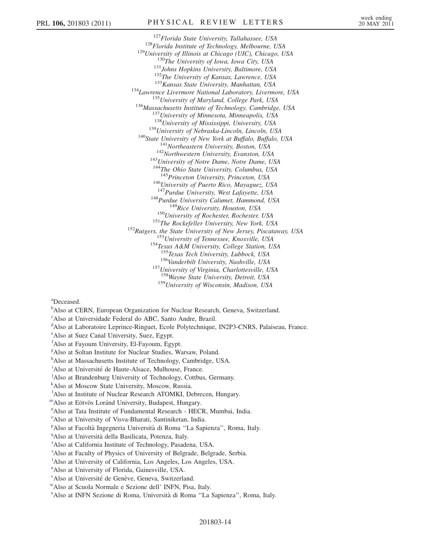<sup>127</sup> Florida State University, Tallahassee, USA<br><sup>128</sup> Florida Institute of Technology, Melbourne, USA<br><sup>129</sup> University of Illinois at Chicago (UIC), Chicago, USA<br><sup>130</sup> The University of Iowa, Iowa City, USA<br><sup>131</sup> The Uni <sup>143</sup>University of Notre Dame, Notre Dame, USA<br><sup>144</sup>The Ohio State University, Columbus, USA<br><sup>145</sup>Princeton University, Princeton, USA <sup>146</sup>University of Puerto Rico, Mayaguez, USA<br><sup>147</sup>Purdue University, West Lafayette, USA <sup>148</sup>Purdue University Calumet, Hammond, USA<br><sup>149</sup>Rice University, Houston, USA<br><sup>150</sup>University of Rochester, Rochester, USA<br><sup>151</sup>The Rockefeller University, New York, USA<br><sup>152</sup>Rutgers, the State University of New Jersey, <sup>155</sup>Texas Tech University, Lubbock, USA<br><sup>156</sup>Vanderbilt University, Nashville, USA<br><sup>157</sup>University of Virginia, Charlottesville, USA<br><sup>158</sup>Wayne State University, Detroit, USA  $159$ University of Wisconsin, Madison, USA

<span id="page-13-8"></span>[a](#page-5-0) Deceased.

<span id="page-13-0"></span><sup>[b](#page-4-22)</sup>Also at CERN, European Organization for Nuclear Research, Geneva, Switzerland.

<span id="page-13-1"></span>[c](#page-4-23) Also at Universidade Federal do ABC, Santo Andre, Brazil.

<span id="page-13-2"></span><sup>[d](#page-4-24)</sup>Also at Laboratoire Leprince-Ringuet, Ecole Polytechnique, IN2P3-CNRS, Palaiseau, France.

<span id="page-13-3"></span><sup>[e](#page-4-25)</sup> Also at Suez Canal University, Suez, Egypt.

<span id="page-13-4"></span>[f](#page-4-25) Also at Fayoum University, El-Fayoum, Egypt.

<span id="page-13-5"></span>[g](#page-5-1) Also at Soltan Institute for Nuclear Studies, Warsaw, Poland.

<span id="page-13-6"></span>[h](#page-5-2) Also at Massachusetts Institute of Technology, Cambridge, USA.

<span id="page-13-7"></span><sup>[i](#page-5-3)</sup>Also at Université de Haute-Alsace, Mulhouse, France.

<span id="page-13-9"></span><sup>[j](#page-5-4)</sup>Also at Brandenburg University of Technology, Cottbus, Germany.

<span id="page-13-10"></span>[k](#page-5-5) Also at Moscow State University, Moscow, Russia.

<span id="page-13-11"></span><sup>1</sup>A[l](#page-5-6)so at Institute of Nuclear Research ATOMKI, Debrecen, Hungary.

<span id="page-13-13"></span><span id="page-13-12"></span><sup>m</sup>Also at Eötvös Loránd University, Budapest, Hungary.

[n](#page-5-8) Also at Tata Institute of Fundamental Research - HECR, Mumbai, India.

<span id="page-13-14"></span><sup>[o](#page-5-8)</sup>Also at University of Visva-Bharati, Santiniketan, India.

<span id="page-13-15"></span><su[p](#page-6-0)>p</sup>Also at Facoltà Ingegneria Università di Roma "La Sapienza", Roma, Italy.

<span id="page-13-16"></span><sup>[q](#page-6-1)</sup>Also at Università della Basilicata, Potenza, Italy.

<span id="page-13-17"></span><sup>[r](#page-7-0)</sup>Also at California Institute of Technology, Pasadena, USA.

<span id="page-13-18"></span>[s](#page-7-1) Also at Faculty of Physics of University of Belgrade, Belgrade, Serbia.

<span id="page-13-19"></span>[t](#page-7-2) Also at University of California, Los Angeles, Los Angeles, USA.

<span id="page-13-20"></span><s[u](#page-7-3)p>u</sup>Also at University of Florida, Gainesville, USA.

<span id="page-13-21"></span><sup>[v](#page-7-4)</sup>Also at Université de Genève, Geneva, Switzerland.

<span id="page-13-22"></span>[wA](#page-7-5)lso at Scuola Normale e Sezione dell' INFN, Pisa, Italy.

<span id="page-13-23"></span><sup>[x](#page-7-5)</sup>Also at INFN Sezione di Roma, Università di Roma "La Sapienza", Roma, Italy.